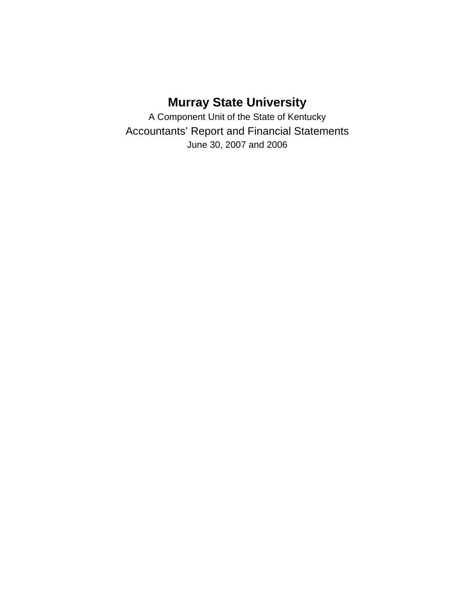# **Murray State University**

A Component Unit of the State of Kentucky Accountants' Report and Financial Statements June 30, 2007 and 2006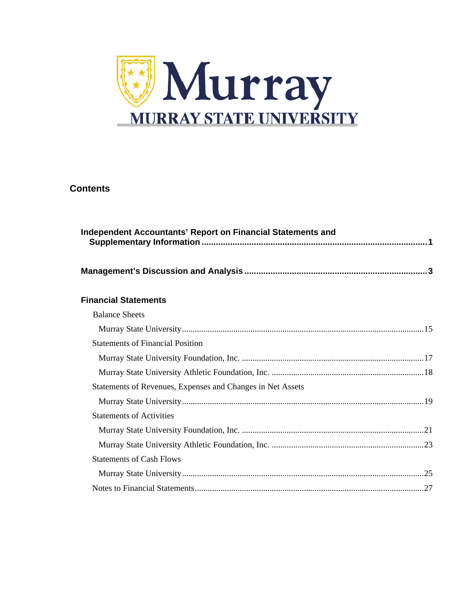

### **Contents**

| Independent Accountants' Report on Financial Statements and |
|-------------------------------------------------------------|
|                                                             |
| <b>Financial Statements</b>                                 |
| <b>Balance Sheets</b>                                       |
|                                                             |
| <b>Statements of Financial Position</b>                     |
|                                                             |
|                                                             |
| Statements of Revenues, Expenses and Changes in Net Assets  |
|                                                             |
| <b>Statements of Activities</b>                             |
|                                                             |
|                                                             |
| <b>Statements of Cash Flows</b>                             |
|                                                             |
|                                                             |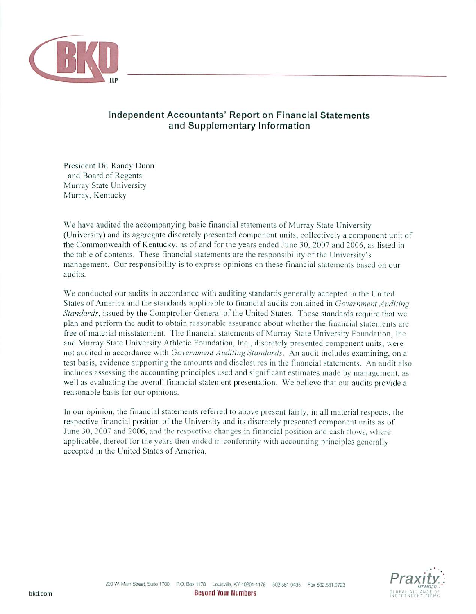

### Independent Accountants' Report on Financial Statements and Supplementary Information

President Dr. Randy Dunn and Board of Regents Murray State University Murray, Kentucky

We have audited the accompanying basic financial statements of Murray State University (University) and its aggregate discretely presented component units, collectively a component unit of the Commonwealth of Kentucky, as of and for the years ended June 30, 2007 and 2006, as listed in the table of contents. These financial statements are the responsibility of the University's management. Our responsibility is to express opinions on these financial statements based on our audits.

We conducted our audits in accordance with auditing standards generally accepted in the United States of America and the standards applicable to financial audits contained in Government Auditing Standards, issued by the Comptroller General of the United States. Those standards require that we plan and perform the audit to obtain reasonable assurance about whether the financial statements are free of material misstatement. The financial statements of Murray State University Foundation. Inc. and Murray State University Athletic Foundation, Inc., discretely presented component units, were not audited in accordance with Government Auditing Standards. An audit includes examining, on a test basis, evidence supporting the amounts and disclosures in the financial statements. An audit also includes assessing the accounting principles used and significant estimates made by management, as well as evaluating the overall financial statement presentation. We believe that our audits provide a reasonable basis for our opinions.

In our opinion, the financial statements referred to above present fairly, in all material respects, the respective financial position of the University and its discretely presented component units as of June 30, 2007 and 2006, and the respective changes in financial position and cash flows, where applicable, thereof for the years then ended in conformity with accounting principles generally accepted in the United States of America.

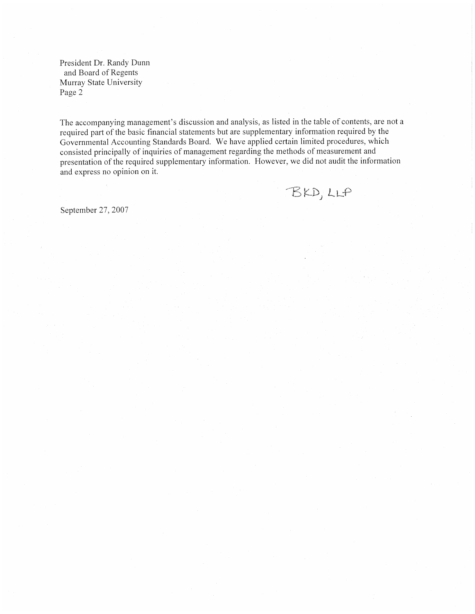President Dr. Randy Dunn and Board of Regents Murray State University Page 2

The accompanying management's discussion and analysis, as listed in the table of contents, are not a required part of the basic financial statements but are supplementary information required by the Governmental Accounting Standards Board. We have applied certain limited procedures, which consisted principally of inquiries of management regarding the methods of measurement and presentation of the required supplementary information. However, we did not audit the information and express no opinion on it.

BKD, LLP

September 27, 2007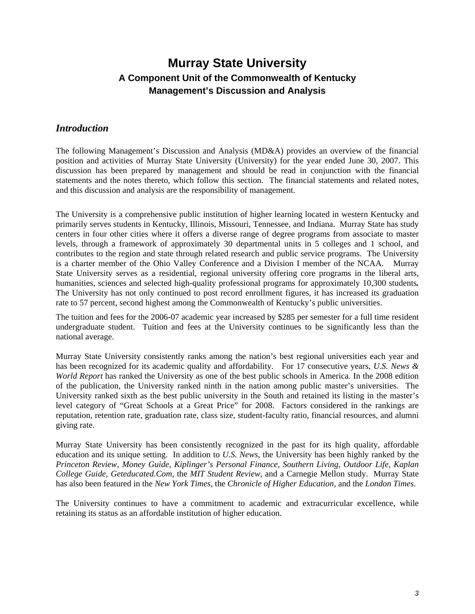### *Introduction*

The following Management's Discussion and Analysis (MD&A) provides an overview of the financial position and activities of Murray State University (University) for the year ended June 30, 2007. This discussion has been prepared by management and should be read in conjunction with the financial statements and the notes thereto, which follow this section. The financial statements and related notes, and this discussion and analysis are the responsibility of management.

The University is a comprehensive public institution of higher learning located in western Kentucky and primarily serves students in Kentucky, Illinois, Missouri, Tennessee, and Indiana. Murray State has study centers in four other cities where it offers a diverse range of degree programs from associate to master levels, through a framework of approximately 30 departmental units in 5 colleges and 1 school, and contributes to the region and state through related research and public service programs. The University is a charter member of the Ohio Valley Conference and a Division I member of the NCAA. Murray State University serves as a residential, regional university offering core programs in the liberal arts, humanities, sciences and selected high-quality professional programs for approximately 10,300 students*.*  The University has not only continued to post record enrollment figures, it has increased its graduation rate to 57 percent, second highest among the Commonwealth of Kentucky's public universities.

The tuition and fees for the 2006-07 academic year increased by \$285 per semester for a full time resident undergraduate student. Tuition and fees at the University continues to be significantly less than the national average.

Murray State University consistently ranks among the nation's best regional universities each year and has been recognized for its academic quality and affordability. For 17 consecutive years, *U.S. News & World Report* has ranked the University as one of the best public schools in America. In the 2008 edition of the publication, the University ranked ninth in the nation among public master's universities. The University ranked sixth as the best public university in the South and retained its listing in the master's level category of "Great Schools at a Great Price" for 2008. Factors considered in the rankings are reputation, retention rate, graduation rate, class size, student-faculty ratio, financial resources, and alumni giving rate.

Murray State University has been consistently recognized in the past for its high quality, affordable education and its unique setting. In addition to *U.S. News*, the University has been highly ranked by the *Princeton Review, Money Guide, Kiplinger's Personal Finance, Southern Living, Outdoor Life, Kaplan College Guide, Geteducated.Com,* the *MIT Student Review*, and a Carnegie Mellon study. Murray State has also been featured in the *New York Times*, the *Chronicle of Higher Education*, and the *London Times*.

The University continues to have a commitment to academic and extracurricular excellence, while retaining its status as an affordable institution of higher education.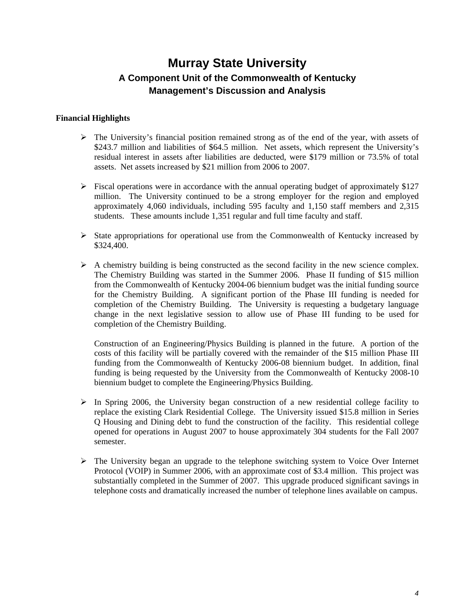#### **Financial Highlights**

- $\triangleright$  The University's financial position remained strong as of the end of the year, with assets of \$243.7 million and liabilities of \$64.5 million. Net assets, which represent the University's residual interest in assets after liabilities are deducted, were \$179 million or 73.5% of total assets. Net assets increased by \$21 million from 2006 to 2007.
- $\triangleright$  Fiscal operations were in accordance with the annual operating budget of approximately \$127 million. The University continued to be a strong employer for the region and employed approximately 4,060 individuals, including 595 faculty and 1,150 staff members and 2,315 students. These amounts include 1,351 regular and full time faculty and staff.
- $\triangleright$  State appropriations for operational use from the Commonwealth of Kentucky increased by \$324,400.
- $\triangleright$  A chemistry building is being constructed as the second facility in the new science complex. The Chemistry Building was started in the Summer 2006. Phase II funding of \$15 million from the Commonwealth of Kentucky 2004-06 biennium budget was the initial funding source for the Chemistry Building. A significant portion of the Phase III funding is needed for completion of the Chemistry Building. The University is requesting a budgetary language change in the next legislative session to allow use of Phase III funding to be used for completion of the Chemistry Building.

Construction of an Engineering/Physics Building is planned in the future. A portion of the costs of this facility will be partially covered with the remainder of the \$15 million Phase III funding from the Commonwealth of Kentucky 2006-08 biennium budget. In addition, final funding is being requested by the University from the Commonwealth of Kentucky 2008-10 biennium budget to complete the Engineering/Physics Building.

- $\triangleright$  In Spring 2006, the University began construction of a new residential college facility to replace the existing Clark Residential College. The University issued \$15.8 million in Series Q Housing and Dining debt to fund the construction of the facility. This residential college opened for operations in August 2007 to house approximately 304 students for the Fall 2007 semester.
- $\triangleright$  The University began an upgrade to the telephone switching system to Voice Over Internet Protocol (VOIP) in Summer 2006, with an approximate cost of \$3.4 million. This project was substantially completed in the Summer of 2007. This upgrade produced significant savings in telephone costs and dramatically increased the number of telephone lines available on campus.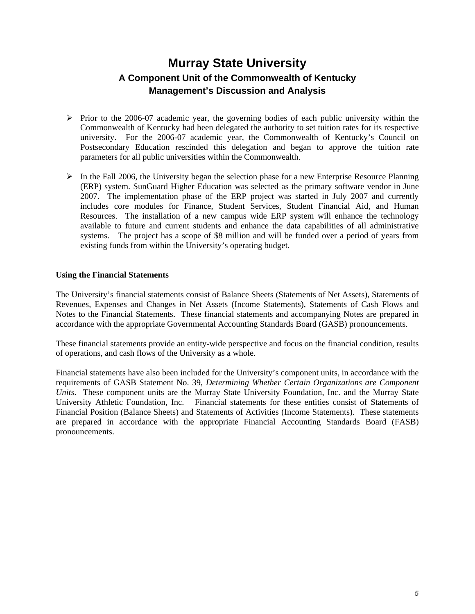- $\triangleright$  Prior to the 2006-07 academic year, the governing bodies of each public university within the Commonwealth of Kentucky had been delegated the authority to set tuition rates for its respective university. For the 2006-07 academic year, the Commonwealth of Kentucky's Council on Postsecondary Education rescinded this delegation and began to approve the tuition rate parameters for all public universities within the Commonwealth.
- $\triangleright$  In the Fall 2006, the University began the selection phase for a new Enterprise Resource Planning (ERP) system. SunGuard Higher Education was selected as the primary software vendor in June 2007. The implementation phase of the ERP project was started in July 2007 and currently includes core modules for Finance, Student Services, Student Financial Aid, and Human Resources. The installation of a new campus wide ERP system will enhance the technology available to future and current students and enhance the data capabilities of all administrative systems. The project has a scope of \$8 million and will be funded over a period of years from existing funds from within the University's operating budget.

#### **Using the Financial Statements**

The University's financial statements consist of Balance Sheets (Statements of Net Assets), Statements of Revenues, Expenses and Changes in Net Assets (Income Statements), Statements of Cash Flows and Notes to the Financial Statements. These financial statements and accompanying Notes are prepared in accordance with the appropriate Governmental Accounting Standards Board (GASB) pronouncements.

These financial statements provide an entity-wide perspective and focus on the financial condition, results of operations, and cash flows of the University as a whole.

Financial statements have also been included for the University's component units, in accordance with the requirements of GASB Statement No. 39, *Determining Whether Certain Organizations are Component Units*. These component units are the Murray State University Foundation, Inc. and the Murray State University Athletic Foundation, Inc. Financial statements for these entities consist of Statements of Financial Position (Balance Sheets) and Statements of Activities (Income Statements). These statements are prepared in accordance with the appropriate Financial Accounting Standards Board (FASB) pronouncements.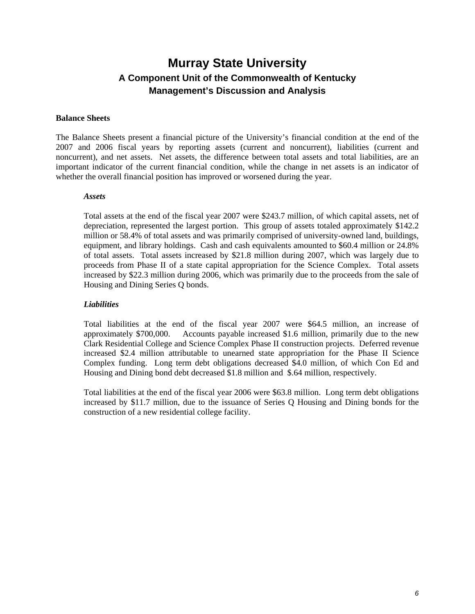#### **Balance Sheets**

The Balance Sheets present a financial picture of the University's financial condition at the end of the 2007 and 2006 fiscal years by reporting assets (current and noncurrent), liabilities (current and noncurrent), and net assets. Net assets, the difference between total assets and total liabilities, are an important indicator of the current financial condition, while the change in net assets is an indicator of whether the overall financial position has improved or worsened during the year.

#### *Assets*

Total assets at the end of the fiscal year 2007 were \$243.7 million, of which capital assets, net of depreciation, represented the largest portion. This group of assets totaled approximately \$142.2 million or 58.4% of total assets and was primarily comprised of university-owned land, buildings, equipment, and library holdings. Cash and cash equivalents amounted to \$60.4 million or 24.8% of total assets. Total assets increased by \$21.8 million during 2007, which was largely due to proceeds from Phase II of a state capital appropriation for the Science Complex. Total assets increased by \$22.3 million during 2006, which was primarily due to the proceeds from the sale of Housing and Dining Series Q bonds.

#### *Liabilities*

Total liabilities at the end of the fiscal year 2007 were \$64.5 million, an increase of approximately \$700,000. Accounts payable increased \$1.6 million, primarily due to the new Clark Residential College and Science Complex Phase II construction projects. Deferred revenue increased \$2.4 million attributable to unearned state appropriation for the Phase II Science Complex funding. Long term debt obligations decreased \$4.0 million, of which Con Ed and Housing and Dining bond debt decreased \$1.8 million and \$.64 million, respectively.

Total liabilities at the end of the fiscal year 2006 were \$63.8 million. Long term debt obligations increased by \$11.7 million, due to the issuance of Series Q Housing and Dining bonds for the construction of a new residential college facility.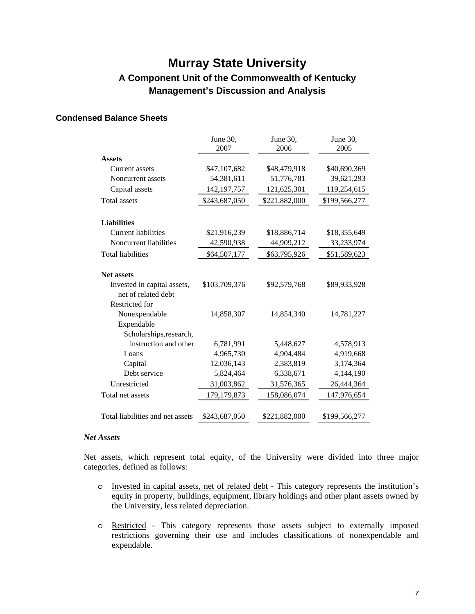#### **Condensed Balance Sheets**

|                                                    | June 30,<br>2007 | June 30,<br>2006 | June 30,<br>2005 |
|----------------------------------------------------|------------------|------------------|------------------|
| <b>Assets</b>                                      |                  |                  |                  |
| Current assets                                     | \$47,107,682     | \$48,479,918     | \$40,690,369     |
| Noncurrent assets                                  | 54,381,611       | 51,776,781       | 39,621,293       |
| Capital assets                                     | 142, 197, 757    | 121,625,301      | 119,254,615      |
| <b>Total assets</b>                                | \$243,687,050    | \$221,882,000    | \$199,566,277    |
| <b>Liabilities</b>                                 |                  |                  |                  |
| <b>Current liabilities</b>                         | \$21,916,239     | \$18,886,714     | \$18,355,649     |
| Noncurrent liabilities                             | 42,590,938       | 44,909,212       | 33,233,974       |
| <b>Total liabilities</b>                           | \$64,507,177     | \$63,795,926     | \$51,589,623     |
| <b>Net assets</b>                                  |                  |                  |                  |
| Invested in capital assets,<br>net of related debt | \$103,709,376    | \$92,579,768     | \$89,933,928     |
| Restricted for                                     |                  |                  |                  |
| Nonexpendable                                      | 14,858,307       | 14,854,340       | 14,781,227       |
| Expendable                                         |                  |                  |                  |
| Scholarships, research,                            |                  |                  |                  |
| instruction and other                              | 6,781,991        | 5,448,627        | 4,578,913        |
| Loans                                              | 4,965,730        | 4,904,484        | 4,919,668        |
| Capital                                            | 12,036,143       | 2,383,819        | 3,174,364        |
| Debt service                                       | 5,824,464        | 6,338,671        | 4,144,190        |
| Unrestricted                                       | 31,003,862       | 31,576,365       | 26,444,364       |
| Total net assets                                   | 179,179,873      | 158,086,074      | 147,976,654      |
| Total liabilities and net assets                   | \$243,687,050    | \$221,882,000    | \$199,566,277    |

#### *Net Assets*

Net assets, which represent total equity, of the University were divided into three major categories, defined as follows:

- o Invested in capital assets, net of related debt This category represents the institution's equity in property, buildings, equipment, library holdings and other plant assets owned by the University, less related depreciation.
- o Restricted This category represents those assets subject to externally imposed restrictions governing their use and includes classifications of nonexpendable and expendable.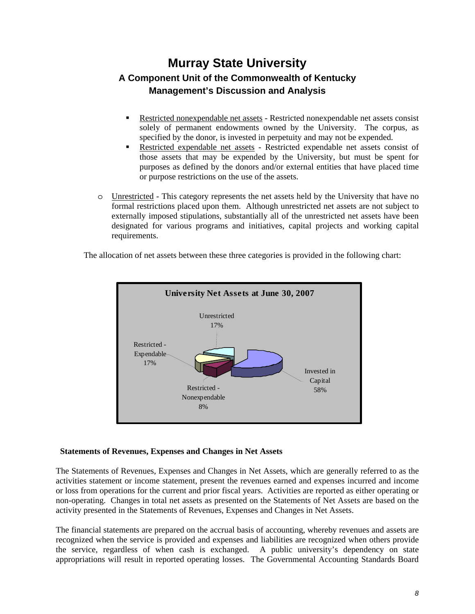- Restricted nonexpendable net assets Restricted nonexpendable net assets consist solely of permanent endowments owned by the University. The corpus, as specified by the donor, is invested in perpetuity and may not be expended.
- Restricted expendable net assets Restricted expendable net assets consist of those assets that may be expended by the University, but must be spent for purposes as defined by the donors and/or external entities that have placed time or purpose restrictions on the use of the assets.
- o Unrestricted This category represents the net assets held by the University that have no formal restrictions placed upon them. Although unrestricted net assets are not subject to externally imposed stipulations, substantially all of the unrestricted net assets have been designated for various programs and initiatives, capital projects and working capital requirements.

The allocation of net assets between these three categories is provided in the following chart:



#### **Statements of Revenues, Expenses and Changes in Net Assets**

The Statements of Revenues, Expenses and Changes in Net Assets, which are generally referred to as the activities statement or income statement, present the revenues earned and expenses incurred and income or loss from operations for the current and prior fiscal years. Activities are reported as either operating or non-operating. Changes in total net assets as presented on the Statements of Net Assets are based on the activity presented in the Statements of Revenues, Expenses and Changes in Net Assets.

The financial statements are prepared on the accrual basis of accounting, whereby revenues and assets are recognized when the service is provided and expenses and liabilities are recognized when others provide the service, regardless of when cash is exchanged. A public university's dependency on state appropriations will result in reported operating losses. The Governmental Accounting Standards Board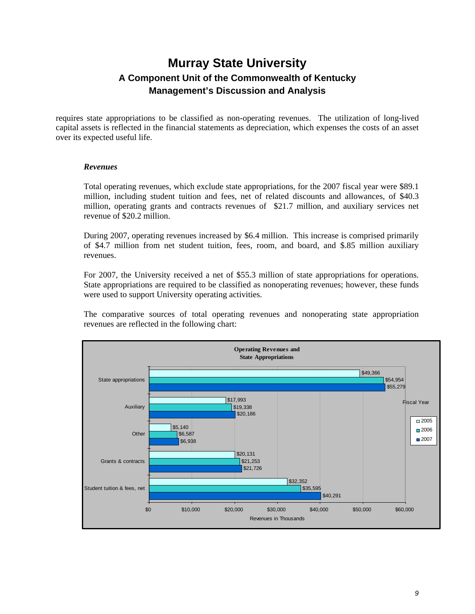requires state appropriations to be classified as non-operating revenues. The utilization of long-lived capital assets is reflected in the financial statements as depreciation, which expenses the costs of an asset over its expected useful life.

#### *Revenues*

Total operating revenues, which exclude state appropriations, for the 2007 fiscal year were \$89.1 million, including student tuition and fees, net of related discounts and allowances, of \$40.3 million, operating grants and contracts revenues of \$21.7 million, and auxiliary services net revenue of \$20.2 million.

During 2007, operating revenues increased by \$6.4 million. This increase is comprised primarily of \$4.7 million from net student tuition, fees, room, and board, and \$.85 million auxiliary revenues.

For 2007, the University received a net of \$55.3 million of state appropriations for operations. State appropriations are required to be classified as nonoperating revenues; however, these funds were used to support University operating activities.

The comparative sources of total operating revenues and nonoperating state appropriation revenues are reflected in the following chart:

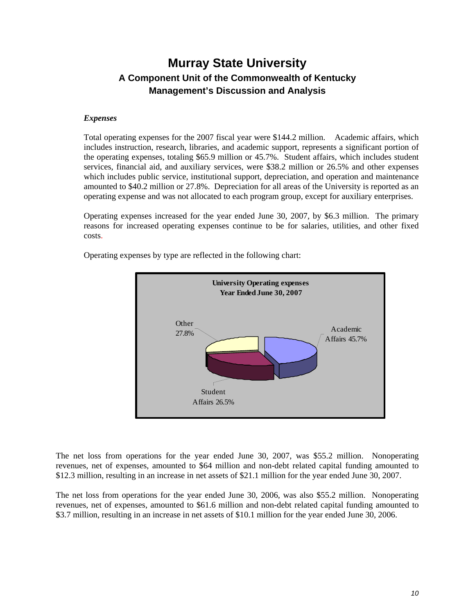#### *Expenses*

Total operating expenses for the 2007 fiscal year were \$144.2 million. Academic affairs, which includes instruction, research, libraries, and academic support, represents a significant portion of the operating expenses, totaling \$65.9 million or 45.7%. Student affairs, which includes student services, financial aid, and auxiliary services, were \$38.2 million or 26.5% and other expenses which includes public service, institutional support, depreciation, and operation and maintenance amounted to \$40.2 million or 27.8%. Depreciation for all areas of the University is reported as an operating expense and was not allocated to each program group, except for auxiliary enterprises.

Operating expenses increased for the year ended June 30, 2007, by \$6.3 million. The primary reasons for increased operating expenses continue to be for salaries, utilities, and other fixed costs.



Operating expenses by type are reflected in the following chart:

The net loss from operations for the year ended June 30, 2007, was \$55.2 million. Nonoperating revenues, net of expenses, amounted to \$64 million and non-debt related capital funding amounted to \$12.3 million, resulting in an increase in net assets of \$21.1 million for the year ended June 30, 2007.

The net loss from operations for the year ended June 30, 2006, was also \$55.2 million. Nonoperating revenues, net of expenses, amounted to \$61.6 million and non-debt related capital funding amounted to \$3.7 million, resulting in an increase in net assets of \$10.1 million for the year ended June 30, 2006.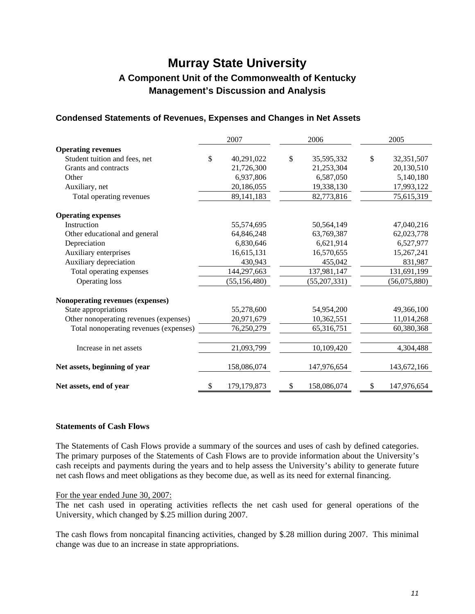### **Condensed Statements of Revenues, Expenses and Changes in Net Assets**

|                                        | 2007                | 2006           |             |    | 2005         |
|----------------------------------------|---------------------|----------------|-------------|----|--------------|
| <b>Operating revenues</b>              |                     |                |             |    |              |
| Student tuition and fees, net          | \$<br>40,291,022    | \$             | 35,595,332  | \$ | 32,351,507   |
| Grants and contracts                   | 21,726,300          |                | 21,253,304  |    | 20,130,510   |
| Other                                  | 6,937,806           |                | 6,587,050   |    | 5,140,180    |
| Auxiliary, net                         | 20,186,055          |                | 19,338,130  |    | 17,993,122   |
| Total operating revenues               | 89, 141, 183        |                | 82,773,816  |    | 75,615,319   |
| <b>Operating expenses</b>              |                     |                |             |    |              |
| Instruction                            | 55,574,695          |                | 50,564,149  |    | 47,040,216   |
| Other educational and general          | 64,846,248          |                | 63,769,387  |    | 62,023,778   |
| Depreciation                           | 6,830,646           |                | 6,621,914   |    | 6,527,977    |
| Auxiliary enterprises                  | 16,615,131          |                | 16,570,655  |    | 15,267,241   |
| Auxiliary depreciation                 | 430,943             |                | 455,042     |    | 831,987      |
| Total operating expenses               | 144,297,663         |                | 137,981,147 |    | 131,691,199  |
| Operating loss                         | (55, 156, 480)      | (55, 207, 331) |             |    | (56,075,880) |
| Nonoperating revenues (expenses)       |                     |                |             |    |              |
| State appropriations                   | 55,278,600          |                | 54,954,200  |    | 49,366,100   |
| Other nonoperating revenues (expenses) | 20,971,679          |                | 10,362,551  |    | 11,014,268   |
| Total nonoperating revenues (expenses) | 76,250,279          | 65,316,751     |             |    | 60,380,368   |
| Increase in net assets                 | 21,093,799          |                | 10,109,420  |    | 4,304,488    |
| Net assets, beginning of year          | 158,086,074         |                | 147,976,654 |    | 143,672,166  |
| Net assets, end of year                | \$<br>179, 179, 873 | \$             | 158,086,074 | \$ | 147,976,654  |

#### **Statements of Cash Flows**

The Statements of Cash Flows provide a summary of the sources and uses of cash by defined categories. The primary purposes of the Statements of Cash Flows are to provide information about the University's cash receipts and payments during the years and to help assess the University's ability to generate future net cash flows and meet obligations as they become due, as well as its need for external financing.

#### For the year ended June 30, 2007:

The net cash used in operating activities reflects the net cash used for general operations of the University, which changed by \$.25 million during 2007.

The cash flows from noncapital financing activities, changed by \$.28 million during 2007. This minimal change was due to an increase in state appropriations.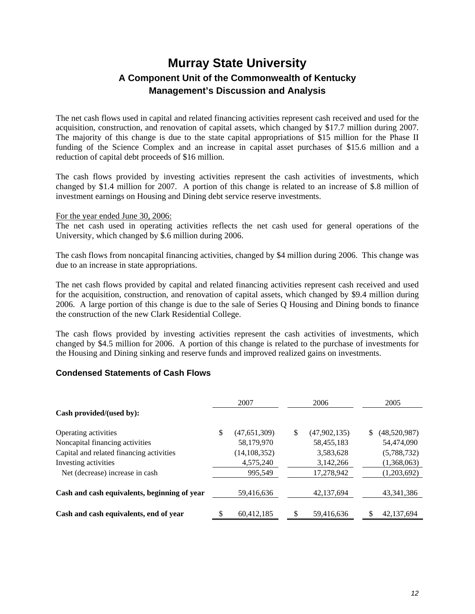The net cash flows used in capital and related financing activities represent cash received and used for the acquisition, construction, and renovation of capital assets, which changed by \$17.7 million during 2007. The majority of this change is due to the state capital appropriations of \$15 million for the Phase II funding of the Science Complex and an increase in capital asset purchases of \$15.6 million and a reduction of capital debt proceeds of \$16 million.

The cash flows provided by investing activities represent the cash activities of investments, which changed by \$1.4 million for 2007. A portion of this change is related to an increase of \$.8 million of investment earnings on Housing and Dining debt service reserve investments.

#### For the year ended June 30, 2006:

The net cash used in operating activities reflects the net cash used for general operations of the University, which changed by \$.6 million during 2006.

The cash flows from noncapital financing activities, changed by \$4 million during 2006. This change was due to an increase in state appropriations.

The net cash flows provided by capital and related financing activities represent cash received and used for the acquisition, construction, and renovation of capital assets, which changed by \$9.4 million during 2006. A large portion of this change is due to the sale of Series Q Housing and Dining bonds to finance the construction of the new Clark Residential College.

The cash flows provided by investing activities represent the cash activities of investments, which changed by \$4.5 million for 2006. A portion of this change is related to the purchase of investments for the Housing and Dining sinking and reserve funds and improved realized gains on investments.

#### **Condensed Statements of Cash Flows**

|                                              | 2007 |                | 2006                 |                    | 2005 |
|----------------------------------------------|------|----------------|----------------------|--------------------|------|
| Cash provided/(used by):                     |      |                |                      |                    |      |
| Operating activities                         | \$   | (47, 651, 309) | \$<br>(47, 902, 135) | \$<br>(48,520,987) |      |
| Noncapital financing activities              |      | 58,179,970     | 58,455,183           | 54,474,090         |      |
| Capital and related financing activities     |      | (14, 108, 352) | 3,583,628            | (5,788,732)        |      |
| Investing activities                         |      | 4,575,240      | 3,142,266            | (1,368,063)        |      |
| Net (decrease) increase in cash              |      | 995,549        | 17,278,942           | (1,203,692)        |      |
|                                              |      |                |                      |                    |      |
| Cash and cash equivalents, beginning of year |      | 59,416,636     | 42,137,694           | 43, 341, 386       |      |
|                                              |      |                |                      |                    |      |
| Cash and cash equivalents, end of year       |      | 60,412,185     | 59,416,636           | 42,137,694         |      |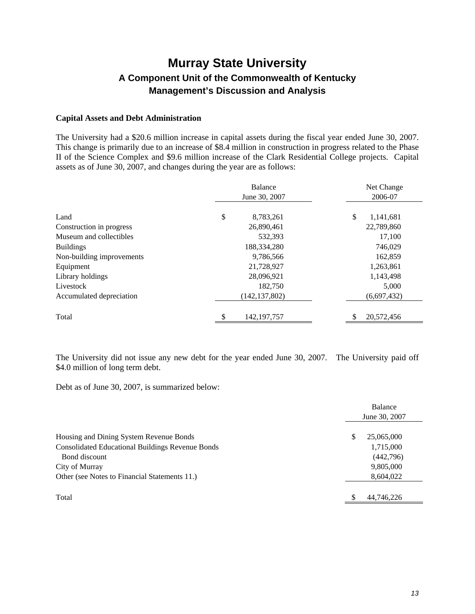#### **Capital Assets and Debt Administration**

The University had a \$20.6 million increase in capital assets during the fiscal year ended June 30, 2007. This change is primarily due to an increase of \$8.4 million in construction in progress related to the Phase II of the Science Complex and \$9.6 million increase of the Clark Residential College projects. Capital assets as of June 30, 2007, and changes during the year are as follows:

|                           | Balance<br>June 30, 2007 |    | Net Change<br>2006-07 |
|---------------------------|--------------------------|----|-----------------------|
| Land                      | \$<br>8,783,261          | \$ | 1,141,681             |
| Construction in progress  | 26,890,461               |    | 22,789,860            |
| Museum and collectibles   | 532,393                  |    | 17,100                |
| <b>Buildings</b>          | 188,334,280              |    | 746,029               |
| Non-building improvements | 9,786,566                |    | 162,859               |
| Equipment                 | 21,728,927               |    | 1,263,861             |
| Library holdings          | 28,096,921               |    | 1,143,498             |
| Livestock                 | 182,750                  |    | 5,000                 |
| Accumulated depreciation  | (142, 137, 802)          |    | (6,697,432)           |
| Total                     | 142, 197, 757            |    | 20,572,456            |

The University did not issue any new debt for the year ended June 30, 2007. The University paid off \$4.0 million of long term debt.

Debt as of June 30, 2007, is summarized below:

|                                                         |    | Balance<br>June 30, 2007 |
|---------------------------------------------------------|----|--------------------------|
| Housing and Dining System Revenue Bonds                 | \$ | 25,065,000               |
| <b>Consolidated Educational Buildings Revenue Bonds</b> |    | 1,715,000                |
| Bond discount                                           |    | (442,796)                |
| City of Murray                                          |    | 9,805,000                |
| Other (see Notes to Financial Statements 11.)           |    | 8,604,022                |
| Total                                                   | S  | 44,746,226               |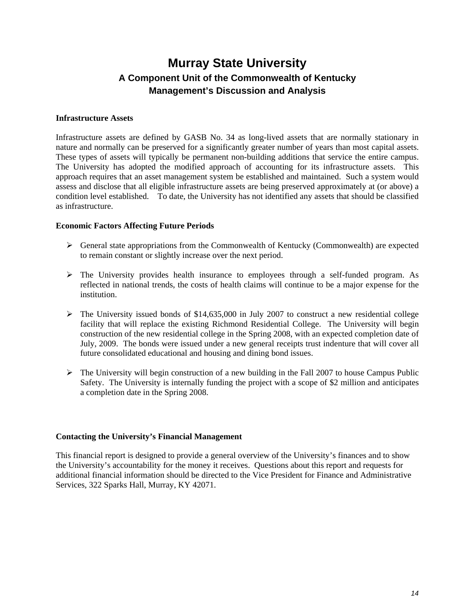#### **Infrastructure Assets**

Infrastructure assets are defined by GASB No. 34 as long-lived assets that are normally stationary in nature and normally can be preserved for a significantly greater number of years than most capital assets. These types of assets will typically be permanent non-building additions that service the entire campus. The University has adopted the modified approach of accounting for its infrastructure assets. This approach requires that an asset management system be established and maintained. Such a system would assess and disclose that all eligible infrastructure assets are being preserved approximately at (or above) a condition level established. To date, the University has not identified any assets that should be classified as infrastructure.

#### **Economic Factors Affecting Future Periods**

- $\triangleright$  General state appropriations from the Commonwealth of Kentucky (Commonwealth) are expected to remain constant or slightly increase over the next period.
- $\triangleright$  The University provides health insurance to employees through a self-funded program. As reflected in national trends, the costs of health claims will continue to be a major expense for the institution.
- $\triangleright$  The University issued bonds of \$14,635,000 in July 2007 to construct a new residential college facility that will replace the existing Richmond Residential College. The University will begin construction of the new residential college in the Spring 2008, with an expected completion date of July, 2009. The bonds were issued under a new general receipts trust indenture that will cover all future consolidated educational and housing and dining bond issues.
- $\triangleright$  The University will begin construction of a new building in the Fall 2007 to house Campus Public Safety. The University is internally funding the project with a scope of \$2 million and anticipates a completion date in the Spring 2008.

#### **Contacting the University's Financial Management**

This financial report is designed to provide a general overview of the University's finances and to show the University's accountability for the money it receives. Questions about this report and requests for additional financial information should be directed to the Vice President for Finance and Administrative Services, 322 Sparks Hall, Murray, KY 42071.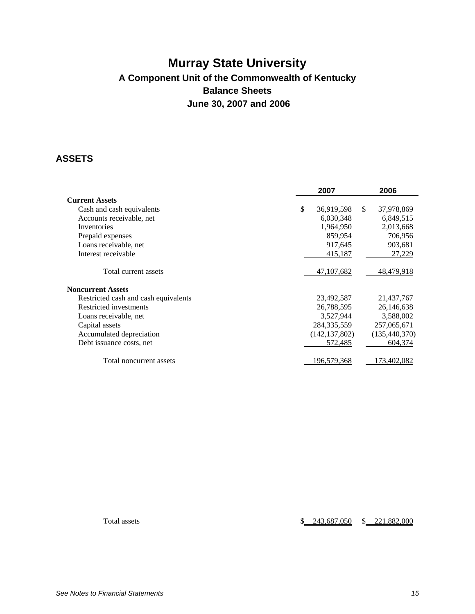## **Murray State University A Component Unit of the Commonwealth of Kentucky Balance Sheets June 30, 2007 and 2006**

### **ASSETS**

|                                      | 2007             | 2006               |
|--------------------------------------|------------------|--------------------|
| <b>Current Assets</b>                |                  |                    |
| Cash and cash equivalents            | \$<br>36,919,598 | \$<br>37,978,869   |
| Accounts receivable, net             | 6,030,348        | 6,849,515          |
| Inventories                          | 1,964,950        | 2,013,668          |
| Prepaid expenses                     | 859,954          | 706,956            |
| Loans receivable, net                | 917,645          | 903,681            |
| Interest receivable                  | 415,187          | 27.229             |
| Total current assets                 | 47, 107, 682     | <u>48,479,9</u> 18 |
| <b>Noncurrent Assets</b>             |                  |                    |
| Restricted cash and cash equivalents | 23,492,587       | 21,437,767         |
| Restricted investments               | 26,788,595       | 26,146,638         |
| Loans receivable, net                | 3,527,944        | 3,588,002          |
| Capital assets                       | 284, 335, 559    | 257,065,671        |
| Accumulated depreciation             | (142, 137, 802)  | (135, 440, 370)    |
| Debt issuance costs, net             | 572,485          | 604,374            |
| Total noncurrent assets              | 196,579,368      | 173,402,082        |

Total assets  $$ 243,687,050 \$ 221,882,000$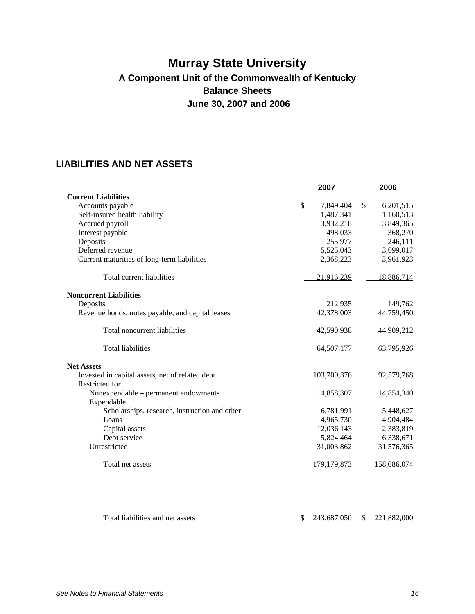## **Murray State University A Component Unit of the Commonwealth of Kentucky Balance Sheets June 30, 2007 and 2006**

### **LIABILITIES AND NET ASSETS**

|                                                  | 2007            | 2006         |             |
|--------------------------------------------------|-----------------|--------------|-------------|
| <b>Current Liabilities</b>                       |                 |              |             |
| Accounts payable                                 | \$<br>7,849,404 | $\mathbb{S}$ | 6,201,515   |
| Self-insured health liability                    | 1,487,341       |              | 1,160,513   |
| Accrued payroll                                  | 3,932,218       |              | 3,849,365   |
| Interest payable                                 | 498,033         |              | 368,270     |
| Deposits                                         | 255,977         |              | 246,111     |
| Deferred revenue                                 | 5,525,043       |              | 3,099,017   |
| Current maturities of long-term liabilities      | 2,368,223       |              | 3,961,923   |
| Total current liabilities                        | 21,916,239      |              | 18,886,714  |
| <b>Noncurrent Liabilities</b>                    |                 |              |             |
| Deposits                                         | 212,935         |              | 149,762     |
| Revenue bonds, notes payable, and capital leases | 42,378,003      |              | 44,759,450  |
| Total noncurrent liabilities                     | 42,590,938      |              | 44,909,212  |
| <b>Total liabilities</b>                         | 64,507,177      |              | 63,795,926  |
| <b>Net Assets</b>                                |                 |              |             |
| Invested in capital assets, net of related debt  | 103,709,376     |              | 92,579,768  |
| Restricted for                                   |                 |              |             |
| Nonexpendable – permanent endowments             | 14,858,307      |              | 14,854,340  |
| Expendable                                       |                 |              |             |
| Scholarships, research, instruction and other    | 6,781,991       |              | 5,448,627   |
| Loans                                            | 4,965,730       |              | 4,904,484   |
| Capital assets                                   | 12,036,143      |              | 2,383,819   |
| Debt service                                     | 5,824,464       |              | 6,338,671   |
| Unrestricted                                     | 31,003,862      |              | 31,576,365  |
| Total net assets                                 | 179, 179, 873   |              | 158,086,074 |
|                                                  |                 |              |             |
|                                                  |                 |              |             |

Total liabilities and net assets  $\frac{$243,687,050}{$243,687,050}$  \$ 221,882,000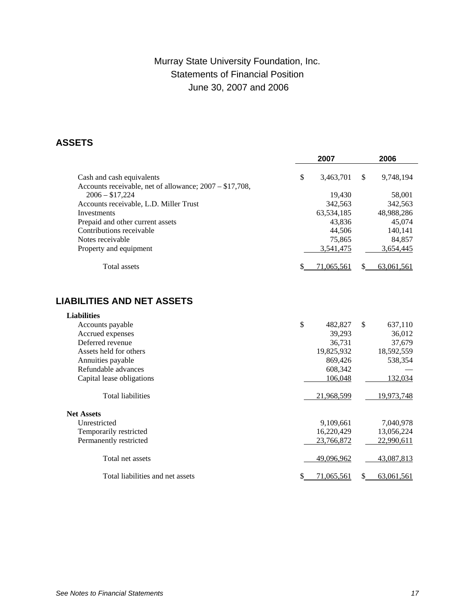### Murray State University Foundation, Inc. Statements of Financial Position June 30, 2007 and 2006

### **ASSETS**

|                                                         |              | 2007              |              | 2006       |
|---------------------------------------------------------|--------------|-------------------|--------------|------------|
| Cash and cash equivalents                               | \$           | 3,463,701         | \$           | 9,748,194  |
| Accounts receivable, net of allowance; 2007 - \$17,708, |              |                   |              |            |
| $2006 - $17,224$                                        |              | 19,430            |              | 58,001     |
| Accounts receivable, L.D. Miller Trust                  |              | 342,563           |              | 342,563    |
| Investments                                             |              | 63,534,185        |              | 48,988,286 |
| Prepaid and other current assets                        |              | 43,836            |              | 45,074     |
| Contributions receivable                                |              | 44,506            |              | 140,141    |
| Notes receivable                                        |              | 75,865            |              | 84,857     |
| Property and equipment                                  |              | 3,541,475         |              | 3,654,445  |
| <b>Total</b> assets                                     |              | 71,065,561        | S            | 63,061,561 |
| <b>LIABILITIES AND NET ASSETS</b>                       |              |                   |              |            |
| <b>Liabilities</b>                                      |              |                   |              |            |
| Accounts payable                                        | $\mathbb{S}$ | 482,827           | $\mathbb{S}$ | 637,110    |
| Accrued expenses                                        |              | 39,293            |              | 36,012     |
| Deferred revenue                                        |              | 36,731            |              | 37,679     |
| Assets held for others                                  |              | 19,825,932        |              | 18,592,559 |
| Annuities payable                                       |              | 869,426           |              | 538,354    |
| Refundable advances                                     |              | 608,342           |              |            |
| Capital lease obligations                               |              | 106,048           |              | 132,034    |
| <b>Total liabilities</b>                                |              | 21,968,599        |              | 19,973,748 |
| <b>Net Assets</b>                                       |              |                   |              |            |
| Unrestricted                                            |              | 9,109,661         |              | 7,040,978  |
| Temporarily restricted                                  |              | 16,220,429        |              | 13,056,224 |
| Permanently restricted                                  |              | 23,766,872        |              | 22,990,611 |
| Total net assets                                        |              | <u>49,096,962</u> |              | 43,087,813 |
| Total liabilities and net assets                        | \$           | 71,065,561        | \$           | 63,061,561 |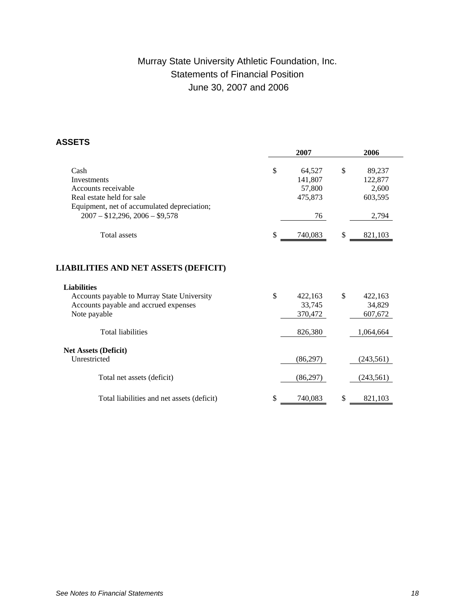### Murray State University Athletic Foundation, Inc. Statements of Financial Position June 30, 2007 and 2006

### **ASSETS**

|                                                                                                                                                          | 2007                                               | 2006                                                 |  |
|----------------------------------------------------------------------------------------------------------------------------------------------------------|----------------------------------------------------|------------------------------------------------------|--|
| Cash<br>Investments<br>Accounts receivable<br>Real estate held for sale<br>Equipment, net of accumulated depreciation;<br>$2007 - $12,296,2006 - $9,578$ | \$<br>64,527<br>141,807<br>57,800<br>475,873<br>76 | \$<br>89,237<br>122,877<br>2,600<br>603,595<br>2,794 |  |
| Total assets                                                                                                                                             | \$<br>740,083                                      | \$<br>821,103                                        |  |
| <b>LIABILITIES AND NET ASSETS (DEFICIT)</b>                                                                                                              |                                                    |                                                      |  |
| <b>Liabilities</b><br>Accounts payable to Murray State University<br>Accounts payable and accrued expenses<br>Note payable                               | \$<br>422,163<br>33,745<br>370,472                 | \$<br>422,163<br>34,829<br>607,672                   |  |
| <b>Total liabilities</b>                                                                                                                                 | 826,380                                            | 1,064,664                                            |  |
| <b>Net Assets (Deficit)</b><br>Unrestricted                                                                                                              | (86,297)                                           | (243, 561)                                           |  |
| Total net assets (deficit)                                                                                                                               | (86, 297)                                          | (243, 561)                                           |  |
| Total liabilities and net assets (deficit)                                                                                                               | \$<br>740,083                                      | \$<br>821,103                                        |  |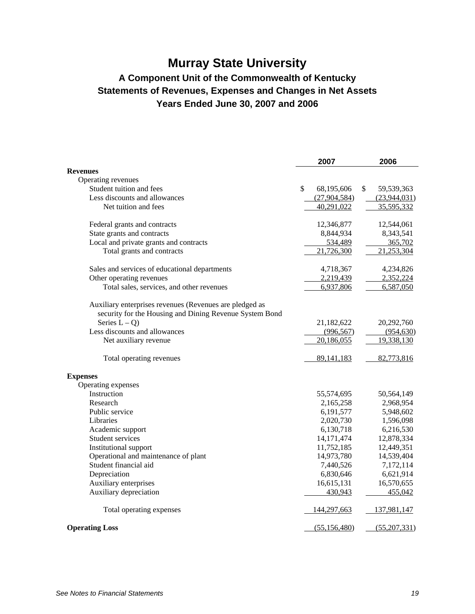# **Murray State University**

### **A Component Unit of the Commonwealth of Kentucky Statements of Revenues, Expenses and Changes in Net Assets Years Ended June 30, 2007 and 2006**

|                                                         | 2007             | 2006             |
|---------------------------------------------------------|------------------|------------------|
| <b>Revenues</b>                                         |                  |                  |
| Operating revenues                                      |                  |                  |
| Student tuition and fees                                | \$<br>68,195,606 | \$<br>59,539,363 |
| Less discounts and allowances                           | (27,904,584)     | (23,944,031)     |
| Net tuition and fees                                    | 40,291,022       | 35,595,332       |
| Federal grants and contracts                            | 12,346,877       | 12,544,061       |
| State grants and contracts                              | 8,844,934        | 8,343,541        |
| Local and private grants and contracts                  | 534,489          | 365,702          |
| Total grants and contracts                              | 21,726,300       | 21,253,304       |
| Sales and services of educational departments           | 4,718,367        | 4,234,826        |
| Other operating revenues                                | 2,219,439        | 2,352,224        |
| Total sales, services, and other revenues               | 6,937,806        | 6,587,050        |
| Auxiliary enterprises revenues (Revenues are pledged as |                  |                  |
| security for the Housing and Dining Revenue System Bond |                  |                  |
| Series $L - Q$ )                                        | 21,182,622       | 20,292,760       |
| Less discounts and allowances                           | (996, 567)       | (954, 630)       |
| Net auxiliary revenue                                   | 20,186,055       | 19,338,130       |
| Total operating revenues                                | 89, 141, 183     | 82,773,816       |
| <b>Expenses</b>                                         |                  |                  |
| Operating expenses                                      |                  |                  |
| Instruction                                             | 55,574,695       | 50,564,149       |
| Research                                                | 2,165,258        | 2,968,954        |
| Public service                                          | 6,191,577        | 5,948,602        |
| Libraries                                               | 2,020,730        | 1,596,098        |
| Academic support                                        | 6,130,718        | 6,216,530        |
| Student services                                        | 14, 171, 474     | 12,878,334       |
| Institutional support                                   | 11,752,185       | 12,449,351       |
| Operational and maintenance of plant                    | 14,973,780       | 14,539,404       |
| Student financial aid                                   | 7,440,526        | 7,172,114        |
| Depreciation                                            | 6,830,646        | 6,621,914        |
| Auxiliary enterprises                                   | 16,615,131       | 16,570,655       |
| Auxiliary depreciation                                  | 430,943          | 455,042          |
| Total operating expenses                                | 144,297,663      | 137,981,147      |
| <b>Operating Loss</b>                                   | (55, 156, 480)   | (55, 207, 331)   |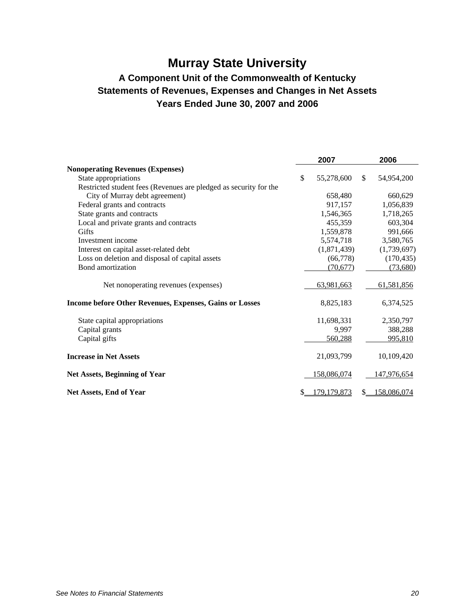# **Murray State University**

### **A Component Unit of the Commonwealth of Kentucky Statements of Revenues, Expenses and Changes in Net Assets Years Ended June 30, 2007 and 2006**

|                                                                   | 2007                |     | 2006        |
|-------------------------------------------------------------------|---------------------|-----|-------------|
| <b>Nonoperating Revenues (Expenses)</b>                           |                     |     |             |
| State appropriations                                              | \$<br>55,278,600    | \$. | 54,954,200  |
| Restricted student fees (Revenues are pledged as security for the |                     |     |             |
| City of Murray debt agreement)                                    | 658,480             |     | 660,629     |
| Federal grants and contracts                                      | 917,157             |     | 1,056,839   |
| State grants and contracts                                        | 1,546,365           |     | 1,718,265   |
| Local and private grants and contracts                            | 455,359             |     | 603,304     |
| <b>Gifts</b>                                                      | 1,559,878           |     | 991,666     |
| Investment income                                                 | 5,574,718           |     | 3,580,765   |
| Interest on capital asset-related debt                            | (1,871,439)         |     | (1,739,697) |
| Loss on deletion and disposal of capital assets                   | (66,778)            |     | (170, 435)  |
| Bond amortization                                                 | (70, 677)           |     | (73,680)    |
| Net nonoperating revenues (expenses)                              | 63,981,663          |     | 61,581,856  |
| <b>Income before Other Revenues, Expenses, Gains or Losses</b>    | 8,825,183           |     | 6,374,525   |
| State capital appropriations                                      | 11,698,331          |     | 2,350,797   |
| Capital grants                                                    | 9,997               |     | 388,288     |
| Capital gifts                                                     | 560,288             |     | 995,810     |
| <b>Increase in Net Assets</b>                                     | 21,093,799          |     | 10,109,420  |
| <b>Net Assets, Beginning of Year</b>                              | 158,086,074         |     | 147,976,654 |
| <b>Net Assets, End of Year</b>                                    | \$<br>179, 179, 873 |     | 158,086,074 |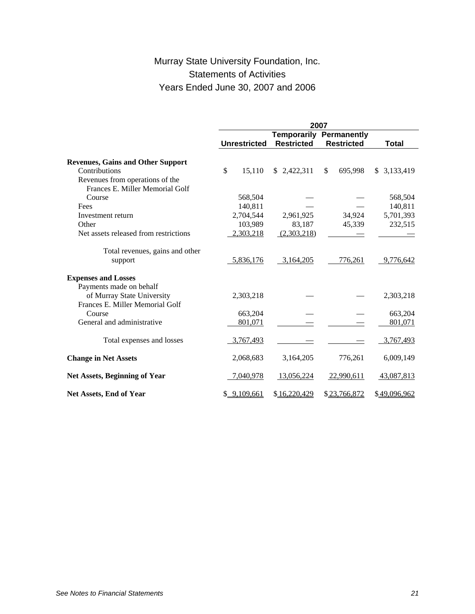### Murray State University Foundation, Inc. Statements of Activities Years Ended June 30, 2007 and 2006

|                                                                    | 2007 |                     |                                  |     |                                  |  |              |
|--------------------------------------------------------------------|------|---------------------|----------------------------------|-----|----------------------------------|--|--------------|
|                                                                    |      | <b>Unrestricted</b> | Temporarily<br><b>Restricted</b> |     | Permanently<br><b>Restricted</b> |  | <b>Total</b> |
|                                                                    |      |                     |                                  |     |                                  |  |              |
| <b>Revenues, Gains and Other Support</b>                           |      |                     |                                  |     |                                  |  |              |
| Contributions                                                      | \$   | 15,110              | \$2,422,311                      | \$. | 695,998                          |  | \$3,133,419  |
| Revenues from operations of the<br>Frances E. Miller Memorial Golf |      |                     |                                  |     |                                  |  |              |
| Course                                                             |      | 568,504             |                                  |     |                                  |  | 568,504      |
| Fees                                                               |      | 140,811             |                                  |     |                                  |  | 140,811      |
| Investment return                                                  |      | 2,704,544           | 2,961,925                        |     | 34,924                           |  | 5,701,393    |
| Other                                                              |      | 103,989             | 83,187                           |     | 45,339                           |  | 232,515      |
| Net assets released from restrictions                              |      | 2,303,218           | (2,303,218)                      |     |                                  |  |              |
| Total revenues, gains and other                                    |      |                     |                                  |     |                                  |  |              |
| support                                                            |      | 5,836,176           | 3,164,205                        |     | 776,261                          |  | 9,776,642    |
| <b>Expenses and Losses</b>                                         |      |                     |                                  |     |                                  |  |              |
| Payments made on behalf                                            |      |                     |                                  |     |                                  |  |              |
| of Murray State University<br>Frances E. Miller Memorial Golf      |      | 2,303,218           |                                  |     |                                  |  | 2,303,218    |
| Course                                                             |      | 663,204             |                                  |     |                                  |  | 663,204      |
| General and administrative                                         |      | 801,071             |                                  |     |                                  |  | 801,071      |
| Total expenses and losses                                          |      | 3,767,493           |                                  |     |                                  |  | 3,767,493    |
| <b>Change in Net Assets</b>                                        |      | 2,068,683           | 3,164,205                        |     | 776,261                          |  | 6,009,149    |
| <b>Net Assets, Beginning of Year</b>                               |      | 7,040,978           | 13,056,224                       |     | 22,990,611                       |  | 43,087,813   |
| Net Assets, End of Year                                            |      | \$9,109,661         | \$16,220,429                     |     | \$23,766,872                     |  | \$49,096,962 |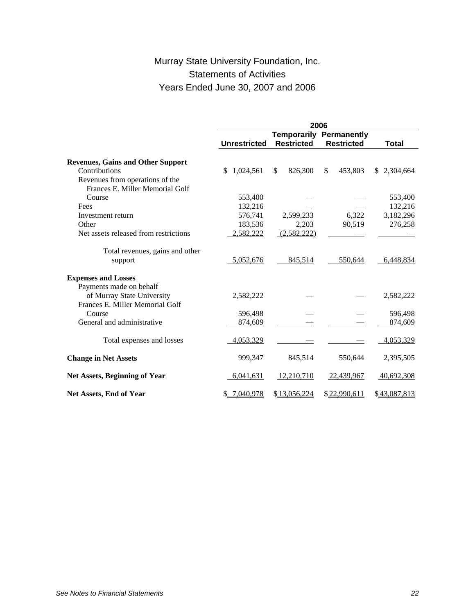### Murray State University Foundation, Inc. Statements of Activities Years Ended June 30, 2007 and 2006

|                                                                    | 2006                |                   |                   |              |  |  |  |
|--------------------------------------------------------------------|---------------------|-------------------|-------------------|--------------|--|--|--|
|                                                                    |                     | Temporarily       | Permanently       |              |  |  |  |
|                                                                    | <b>Unrestricted</b> | <b>Restricted</b> | <b>Restricted</b> | <b>Total</b> |  |  |  |
| <b>Revenues, Gains and Other Support</b>                           |                     |                   |                   |              |  |  |  |
| Contributions                                                      | 1,024,561<br>\$     | \$<br>826,300     | 453,803<br>\$     | \$2,304,664  |  |  |  |
| Revenues from operations of the<br>Frances E. Miller Memorial Golf |                     |                   |                   |              |  |  |  |
| Course                                                             | 553,400             |                   |                   | 553,400      |  |  |  |
| Fees                                                               | 132,216             |                   |                   | 132,216      |  |  |  |
| Investment return                                                  | 576,741             | 2,599,233         | 6,322             | 3,182,296    |  |  |  |
| Other                                                              | 183,536             | 2,203             | 90,519            | 276,258      |  |  |  |
| Net assets released from restrictions                              | 2,582,222           | (2,582,222)       |                   |              |  |  |  |
| Total revenues, gains and other                                    |                     |                   |                   |              |  |  |  |
| support                                                            | 5,052,676           | 845,514           | 550,644           | 6,448,834    |  |  |  |
| <b>Expenses and Losses</b>                                         |                     |                   |                   |              |  |  |  |
| Payments made on behalf                                            |                     |                   |                   |              |  |  |  |
| of Murray State University<br>Frances E. Miller Memorial Golf      | 2,582,222           |                   |                   | 2,582,222    |  |  |  |
| Course                                                             | 596,498             |                   |                   | 596,498      |  |  |  |
| General and administrative                                         | 874,609             |                   |                   | 874,609      |  |  |  |
| Total expenses and losses                                          | 4,053,329           |                   |                   | 4,053,329    |  |  |  |
| <b>Change in Net Assets</b>                                        | 999,347             | 845,514           | 550,644           | 2,395,505    |  |  |  |
| <b>Net Assets, Beginning of Year</b>                               | 6,041,631           | 12.210.710        | 22,439,967        | 40,692,308   |  |  |  |
| Net Assets, End of Year                                            | \$ 7,040,978        | \$13,056,224      | \$22,990,611      | \$43,087,813 |  |  |  |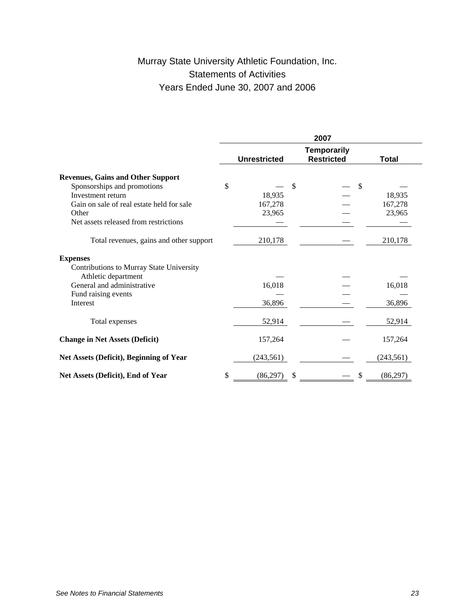### Murray State University Athletic Foundation, Inc. Statements of Activities Years Ended June 30, 2007 and 2006

|                                           | 2007                |    |                                         |  |              |  |
|-------------------------------------------|---------------------|----|-----------------------------------------|--|--------------|--|
|                                           | <b>Unrestricted</b> |    | <b>Temporarily</b><br><b>Restricted</b> |  | <b>Total</b> |  |
| <b>Revenues, Gains and Other Support</b>  |                     |    |                                         |  |              |  |
| Sponsorships and promotions               | \$                  | \$ | \$                                      |  |              |  |
| Investment return                         | 18,935              |    |                                         |  | 18,935       |  |
| Gain on sale of real estate held for sale | 167,278             |    |                                         |  | 167,278      |  |
| Other                                     | 23,965              |    |                                         |  | 23,965       |  |
| Net assets released from restrictions     |                     |    |                                         |  |              |  |
| Total revenues, gains and other support   | 210,178             |    |                                         |  | 210,178      |  |
| <b>Expenses</b>                           |                     |    |                                         |  |              |  |
| Contributions to Murray State University  |                     |    |                                         |  |              |  |
| Athletic department                       |                     |    |                                         |  |              |  |
| General and administrative                | 16,018              |    |                                         |  | 16,018       |  |
| Fund raising events                       |                     |    |                                         |  |              |  |
| Interest                                  | 36,896              |    |                                         |  | 36,896       |  |
| Total expenses                            | 52,914              |    |                                         |  | 52,914       |  |
| <b>Change in Net Assets (Deficit)</b>     | 157,264             |    |                                         |  | 157,264      |  |
| Net Assets (Deficit), Beginning of Year   | (243, 561)          |    |                                         |  | (243, 561)   |  |
| Net Assets (Deficit), End of Year         | \$<br>(86, 297)     | \$ | \$                                      |  | (86, 297)    |  |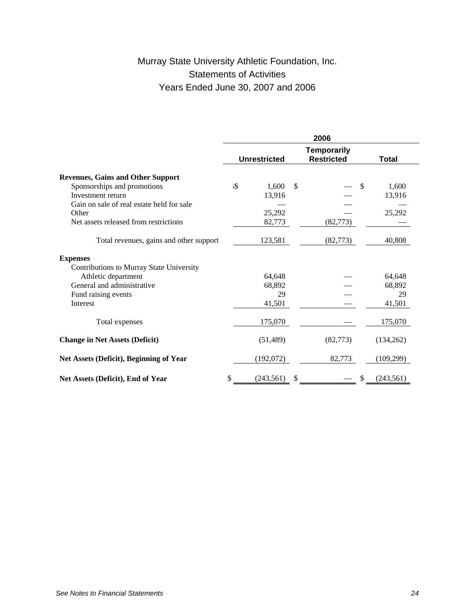### Murray State University Athletic Foundation, Inc. Statements of Activities Years Ended June 30, 2007 and 2006

|                                           | 2006      |                     |    |                                         |               |            |
|-------------------------------------------|-----------|---------------------|----|-----------------------------------------|---------------|------------|
|                                           |           | <b>Unrestricted</b> |    | <b>Temporarily</b><br><b>Restricted</b> |               | Total      |
| <b>Revenues, Gains and Other Support</b>  |           |                     |    |                                         |               |            |
| Sponsorships and promotions               | <b>.S</b> | 1,600               | \$ |                                         | $\mathcal{S}$ | 1,600      |
| Investment return                         |           | 13,916              |    |                                         |               | 13,916     |
| Gain on sale of real estate held for sale |           |                     |    |                                         |               |            |
| Other                                     |           | 25,292              |    |                                         |               | 25,292     |
| Net assets released from restrictions     |           | 82,773              |    | (82, 773)                               |               |            |
| Total revenues, gains and other support   |           | 123,581             |    | (82, 773)                               |               | 40,808     |
| <b>Expenses</b>                           |           |                     |    |                                         |               |            |
| Contributions to Murray State University  |           |                     |    |                                         |               |            |
| Athletic department                       |           | 64,648              |    |                                         |               | 64,648     |
| General and administrative                |           | 68,892              |    |                                         |               | 68,892     |
| Fund raising events                       |           | 29                  |    |                                         |               | 29         |
| Interest                                  |           | 41,501              |    |                                         |               | 41,501     |
| Total expenses                            |           | 175,070             |    |                                         |               | 175,070    |
| <b>Change in Net Assets (Deficit)</b>     |           | (51, 489)           |    | (82,773)                                |               | (134,262)  |
| Net Assets (Deficit), Beginning of Year   |           | (192,072)           |    | 82,773                                  |               | (109, 299) |
| Net Assets (Deficit), End of Year         | \$        | (243, 561)          | \$ |                                         |               | (243, 561) |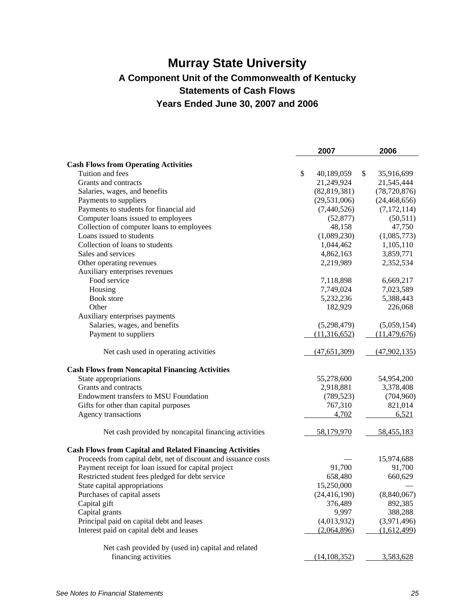## **Murray State University A Component Unit of the Commonwealth of Kentucky Statements of Cash Flows Years Ended June 30, 2007 and 2006**

|                                                                 | 2007             | 2006             |
|-----------------------------------------------------------------|------------------|------------------|
| <b>Cash Flows from Operating Activities</b>                     |                  |                  |
| Tuition and fees                                                | \$<br>40,189,059 | \$<br>35,916,699 |
| Grants and contracts                                            | 21,249,924       | 21,545,444       |
| Salaries, wages, and benefits                                   | (82, 819, 381)   | (78, 720, 876)   |
| Payments to suppliers                                           | (29, 531, 006)   | (24, 468, 656)   |
| Payments to students for financial aid                          | (7,440,526)      | (7,172,114)      |
| Computer loans issued to employees                              | (52, 877)        | (50, 511)        |
| Collection of computer loans to employees                       | 48,158           | 47,750           |
| Loans issued to students                                        | (1,089,230)      | (1,085,773)      |
| Collection of loans to students                                 | 1,044,462        | 1,105,110        |
| Sales and services                                              | 4,862,163        | 3,859,771        |
| Other operating revenues                                        | 2,219,989        | 2,352,534        |
| Auxiliary enterprises revenues                                  |                  |                  |
| Food service                                                    | 7,118,898        | 6,669,217        |
| Housing                                                         | 7,749,024        | 7,023,589        |
| <b>Book</b> store                                               | 5,232,236        | 5,388,443        |
| Other                                                           | 182,929          | 226,068          |
| Auxiliary enterprises payments                                  |                  |                  |
| Salaries, wages, and benefits                                   | (5,298,479)      | (5,059,154)      |
| Payment to suppliers                                            | (11,316,652)     | (11, 479, 676)   |
|                                                                 |                  |                  |
| Net cash used in operating activities                           | (47, 651, 309)   | (47, 902, 135)   |
| <b>Cash Flows from Noncapital Financing Activities</b>          |                  |                  |
| State appropriations                                            | 55,278,600       | 54,954,200       |
| Grants and contracts                                            | 2,918,881        | 3,378,408        |
| Endowment transfers to MSU Foundation                           | (789, 523)       | (704,960)        |
| Gifts for other than capital purposes                           | 767,310          | 821,014          |
| Agency transactions                                             | 4,702            | 6,521            |
| Net cash provided by noncapital financing activities            | 58,179,970       | 58,455,183       |
| <b>Cash Flows from Capital and Related Financing Activities</b> |                  |                  |
| Proceeds from capital debt, net of discount and issuance costs  |                  | 15,974,688       |
| Payment receipt for loan issued for capital project             | 91,700           | 91,700           |
| Restricted student fees pledged for debt service                | 658,480          | 660,629          |
| State capital appropriations                                    | 15,250,000       |                  |
| Purchases of capital assets                                     | (24, 416, 190)   | (8,840,067)      |
| Capital gift                                                    | 376,489          | 892,385          |
| Capital grants                                                  | 9,997            | 388,288          |
| Principal paid on capital debt and leases                       | (4,013,932)      | (3,971,496)      |
| Interest paid on capital debt and leases                        | (2,064,896)      | (1,612,499)      |
|                                                                 |                  |                  |
| Net cash provided by (used in) capital and related              |                  |                  |
| financing activities                                            | (14, 108, 352)   | 3,583,628        |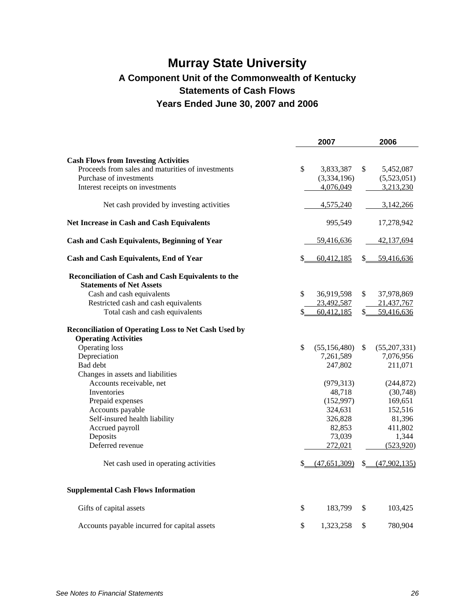## **Murray State University A Component Unit of the Commonwealth of Kentucky Statements of Cash Flows Years Ended June 30, 2007 and 2006**

|                                                                   | 2007                           | 2006                           |
|-------------------------------------------------------------------|--------------------------------|--------------------------------|
| <b>Cash Flows from Investing Activities</b>                       |                                |                                |
| Proceeds from sales and maturities of investments                 | \$<br>3,833,387                | \$<br>5,452,087                |
| Purchase of investments                                           | (3,334,196)                    | (5,523,051)                    |
| Interest receipts on investments                                  | 4,076,049                      | 3,213,230                      |
| Net cash provided by investing activities                         | 4,575,240                      | 3,142,266                      |
| Net Increase in Cash and Cash Equivalents                         | 995,549                        | 17,278,942                     |
| <b>Cash and Cash Equivalents, Beginning of Year</b>               | 59,416,636                     | 42,137,694                     |
| <b>Cash and Cash Equivalents, End of Year</b>                     | \$<br>60,412,185               | \$<br>59,416,636               |
| Reconciliation of Cash and Cash Equivalents to the                |                                |                                |
| <b>Statements of Net Assets</b>                                   |                                |                                |
| Cash and cash equivalents<br>Restricted cash and cash equivalents | \$<br>36,919,598               | \$<br>37,978,869               |
| Total cash and cash equivalents                                   | \$<br>23,492,587<br>60,412,185 | \$<br>21,437,767<br>59,416,636 |
|                                                                   |                                |                                |
| Reconciliation of Operating Loss to Net Cash Used by              |                                |                                |
| <b>Operating Activities</b><br>Operating loss                     | \$<br>(55, 156, 480)           | \$<br>(55,207,331)             |
| Depreciation                                                      | 7,261,589                      | 7,076,956                      |
| Bad debt                                                          | 247,802                        | 211,071                        |
| Changes in assets and liabilities                                 |                                |                                |
| Accounts receivable, net                                          | (979, 313)                     | (244, 872)                     |
| Inventories                                                       | 48,718                         | (30,748)                       |
| Prepaid expenses                                                  | (152,997)                      | 169,651                        |
| Accounts payable                                                  | 324,631                        | 152,516                        |
| Self-insured health liability                                     | 326,828                        | 81,396                         |
| Accrued payroll                                                   | 82,853                         | 411,802                        |
| Deposits                                                          | 73,039                         | 1,344                          |
| Deferred revenue                                                  | 272,021                        | (523, 920)                     |
| Net cash used in operating activities                             | \$<br>(47,651,309)             | \$ (47,902,135)                |
| <b>Supplemental Cash Flows Information</b>                        |                                |                                |
| Gifts of capital assets                                           | \$<br>183,799                  | \$<br>103,425                  |
| Accounts payable incurred for capital assets                      | \$<br>1,323,258                | \$<br>780,904                  |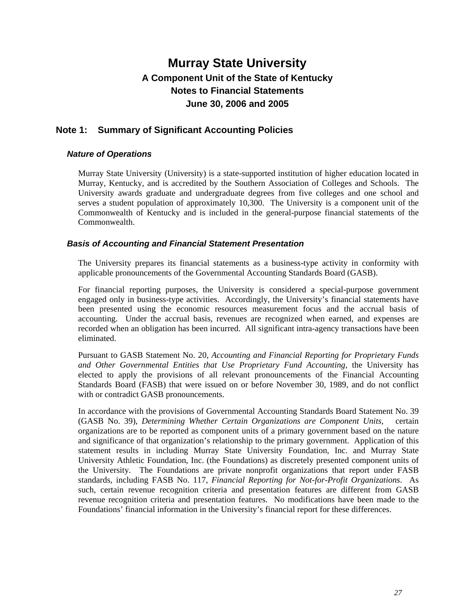### **Note 1: Summary of Significant Accounting Policies**

#### *Nature of Operations*

Murray State University (University) is a state-supported institution of higher education located in Murray, Kentucky, and is accredited by the Southern Association of Colleges and Schools. The University awards graduate and undergraduate degrees from five colleges and one school and serves a student population of approximately 10,300. The University is a component unit of the Commonwealth of Kentucky and is included in the general-purpose financial statements of the Commonwealth.

#### *Basis of Accounting and Financial Statement Presentation*

The University prepares its financial statements as a business-type activity in conformity with applicable pronouncements of the Governmental Accounting Standards Board (GASB).

For financial reporting purposes, the University is considered a special-purpose government engaged only in business-type activities. Accordingly, the University's financial statements have been presented using the economic resources measurement focus and the accrual basis of accounting. Under the accrual basis, revenues are recognized when earned, and expenses are recorded when an obligation has been incurred. All significant intra-agency transactions have been eliminated.

Pursuant to GASB Statement No. 20, *Accounting and Financial Reporting for Proprietary Funds and Other Governmental Entities that Use Proprietary Fund Accounting,* the University has elected to apply the provisions of all relevant pronouncements of the Financial Accounting Standards Board (FASB) that were issued on or before November 30, 1989, and do not conflict with or contradict GASB pronouncements.

In accordance with the provisions of Governmental Accounting Standards Board Statement No. 39 (GASB No. 39), *Determining Whether Certain Organizations are Component Units,* certain organizations are to be reported as component units of a primary government based on the nature and significance of that organization's relationship to the primary government. Application of this statement results in including Murray State University Foundation, Inc. and Murray State University Athletic Foundation, Inc. (the Foundations) as discretely presented component units of the University. The Foundations are private nonprofit organizations that report under FASB standards, including FASB No. 117, *Financial Reporting for Not-for-Profit Organizations*. As such, certain revenue recognition criteria and presentation features are different from GASB revenue recognition criteria and presentation features. No modifications have been made to the Foundations' financial information in the University's financial report for these differences.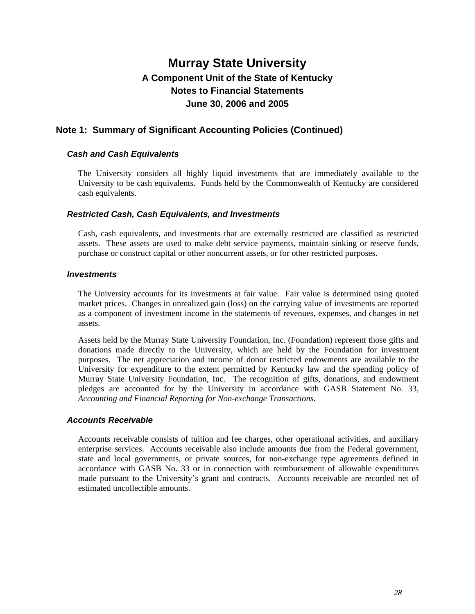### **Note 1: Summary of Significant Accounting Policies (Continued)**

#### *Cash and Cash Equivalents*

The University considers all highly liquid investments that are immediately available to the University to be cash equivalents. Funds held by the Commonwealth of Kentucky are considered cash equivalents.

#### *Restricted Cash, Cash Equivalents, and Investments*

Cash, cash equivalents, and investments that are externally restricted are classified as restricted assets. These assets are used to make debt service payments, maintain sinking or reserve funds, purchase or construct capital or other noncurrent assets, or for other restricted purposes.

#### *Investments*

The University accounts for its investments at fair value. Fair value is determined using quoted market prices. Changes in unrealized gain (loss) on the carrying value of investments are reported as a component of investment income in the statements of revenues, expenses, and changes in net assets.

Assets held by the Murray State University Foundation, Inc. (Foundation) represent those gifts and donations made directly to the University, which are held by the Foundation for investment purposes. The net appreciation and income of donor restricted endowments are available to the University for expenditure to the extent permitted by Kentucky law and the spending policy of Murray State University Foundation, Inc. The recognition of gifts, donations, and endowment pledges are accounted for by the University in accordance with GASB Statement No. 33, *Accounting and Financial Reporting for Non-exchange Transactions.*

#### *Accounts Receivable*

Accounts receivable consists of tuition and fee charges, other operational activities, and auxiliary enterprise services. Accounts receivable also include amounts due from the Federal government, state and local governments, or private sources, for non-exchange type agreements defined in accordance with GASB No. 33 or in connection with reimbursement of allowable expenditures made pursuant to the University's grant and contracts. Accounts receivable are recorded net of estimated uncollectible amounts.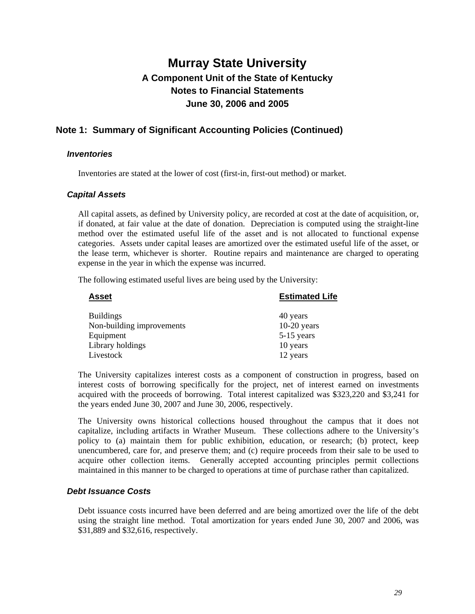### **Note 1: Summary of Significant Accounting Policies (Continued)**

#### *Inventories*

Inventories are stated at the lower of cost (first-in, first-out method) or market.

#### *Capital Assets*

All capital assets, as defined by University policy, are recorded at cost at the date of acquisition, or, if donated, at fair value at the date of donation. Depreciation is computed using the straight-line method over the estimated useful life of the asset and is not allocated to functional expense categories. Assets under capital leases are amortized over the estimated useful life of the asset, or the lease term, whichever is shorter. Routine repairs and maintenance are charged to operating expense in the year in which the expense was incurred.

The following estimated useful lives are being used by the University:

| <b>Estimated Life</b> |
|-----------------------|
| 40 years              |
| $10-20$ years         |
| $5-15$ years          |
| 10 years              |
| 12 years              |
|                       |

The University capitalizes interest costs as a component of construction in progress, based on interest costs of borrowing specifically for the project, net of interest earned on investments acquired with the proceeds of borrowing. Total interest capitalized was \$323,220 and \$3,241 for the years ended June 30, 2007 and June 30, 2006, respectively.

The University owns historical collections housed throughout the campus that it does not capitalize, including artifacts in Wrather Museum. These collections adhere to the University's policy to (a) maintain them for public exhibition, education, or research; (b) protect, keep unencumbered, care for, and preserve them; and (c) require proceeds from their sale to be used to acquire other collection items. Generally accepted accounting principles permit collections maintained in this manner to be charged to operations at time of purchase rather than capitalized.

#### *Debt Issuance Costs*

Debt issuance costs incurred have been deferred and are being amortized over the life of the debt using the straight line method. Total amortization for years ended June 30, 2007 and 2006, was \$31,889 and \$32,616, respectively.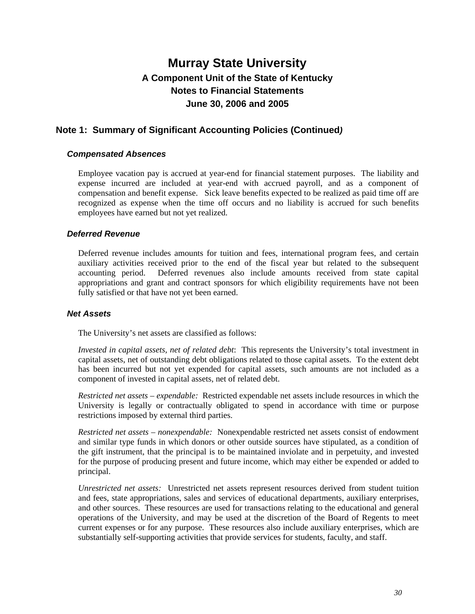### **Note 1: Summary of Significant Accounting Policies (Continued***)*

#### *Compensated Absences*

Employee vacation pay is accrued at year-end for financial statement purposes. The liability and expense incurred are included at year-end with accrued payroll, and as a component of compensation and benefit expense. Sick leave benefits expected to be realized as paid time off are recognized as expense when the time off occurs and no liability is accrued for such benefits employees have earned but not yet realized.

#### *Deferred Revenue*

Deferred revenue includes amounts for tuition and fees, international program fees, and certain auxiliary activities received prior to the end of the fiscal year but related to the subsequent accounting period. Deferred revenues also include amounts received from state capital appropriations and grant and contract sponsors for which eligibility requirements have not been fully satisfied or that have not yet been earned.

#### *Net Assets*

The University's net assets are classified as follows:

*Invested in capital assets, net of related debt*: This represents the University's total investment in capital assets, net of outstanding debt obligations related to those capital assets. To the extent debt has been incurred but not yet expended for capital assets, such amounts are not included as a component of invested in capital assets, net of related debt.

*Restricted net assets – expendable:* Restricted expendable net assets include resources in which the University is legally or contractually obligated to spend in accordance with time or purpose restrictions imposed by external third parties.

*Restricted net assets – nonexpendable:* Nonexpendable restricted net assets consist of endowment and similar type funds in which donors or other outside sources have stipulated, as a condition of the gift instrument, that the principal is to be maintained inviolate and in perpetuity, and invested for the purpose of producing present and future income, which may either be expended or added to principal.

*Unrestricted net assets:* Unrestricted net assets represent resources derived from student tuition and fees, state appropriations, sales and services of educational departments, auxiliary enterprises, and other sources. These resources are used for transactions relating to the educational and general operations of the University, and may be used at the discretion of the Board of Regents to meet current expenses or for any purpose. These resources also include auxiliary enterprises, which are substantially self-supporting activities that provide services for students, faculty, and staff.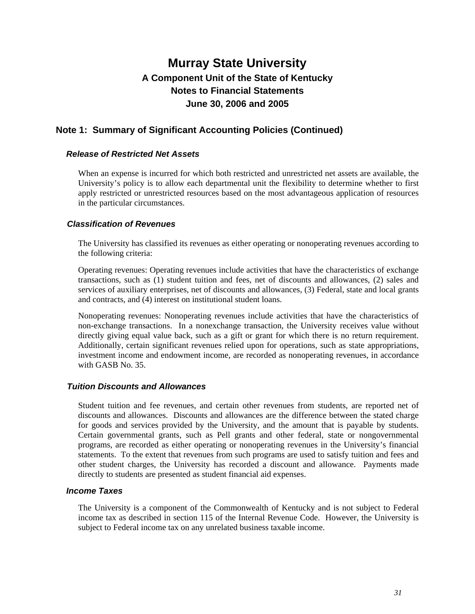### **Note 1: Summary of Significant Accounting Policies (Continued)**

#### *Release of Restricted Net Assets*

When an expense is incurred for which both restricted and unrestricted net assets are available, the University's policy is to allow each departmental unit the flexibility to determine whether to first apply restricted or unrestricted resources based on the most advantageous application of resources in the particular circumstances.

#### *Classification of Revenues*

The University has classified its revenues as either operating or nonoperating revenues according to the following criteria:

Operating revenues: Operating revenues include activities that have the characteristics of exchange transactions, such as (1) student tuition and fees, net of discounts and allowances, (2) sales and services of auxiliary enterprises, net of discounts and allowances, (3) Federal, state and local grants and contracts, and (4) interest on institutional student loans.

Nonoperating revenues: Nonoperating revenues include activities that have the characteristics of non-exchange transactions. In a nonexchange transaction, the University receives value without directly giving equal value back, such as a gift or grant for which there is no return requirement. Additionally, certain significant revenues relied upon for operations, such as state appropriations, investment income and endowment income, are recorded as nonoperating revenues, in accordance with GASB No. 35.

#### *Tuition Discounts and Allowances*

Student tuition and fee revenues, and certain other revenues from students, are reported net of discounts and allowances. Discounts and allowances are the difference between the stated charge for goods and services provided by the University, and the amount that is payable by students. Certain governmental grants, such as Pell grants and other federal, state or nongovernmental programs, are recorded as either operating or nonoperating revenues in the University's financial statements. To the extent that revenues from such programs are used to satisfy tuition and fees and other student charges, the University has recorded a discount and allowance. Payments made directly to students are presented as student financial aid expenses.

#### *Income Taxes*

The University is a component of the Commonwealth of Kentucky and is not subject to Federal income tax as described in section 115 of the Internal Revenue Code. However, the University is subject to Federal income tax on any unrelated business taxable income.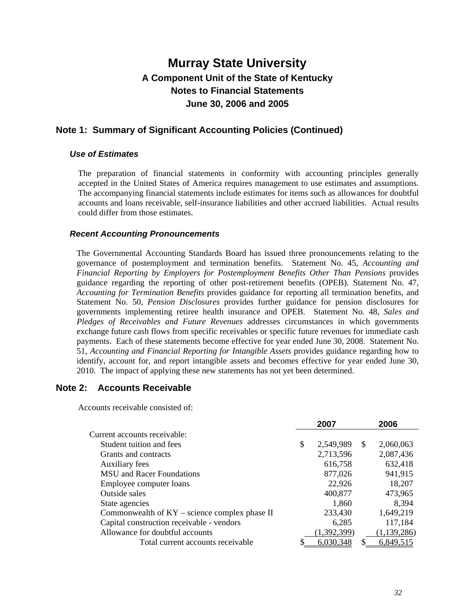### **Note 1: Summary of Significant Accounting Policies (Continued)**

#### *Use of Estimates*

The preparation of financial statements in conformity with accounting principles generally accepted in the United States of America requires management to use estimates and assumptions. The accompanying financial statements include estimates for items such as allowances for doubtful accounts and loans receivable, self-insurance liabilities and other accrued liabilities. Actual results could differ from those estimates.

#### *Recent Accounting Pronouncements*

The Governmental Accounting Standards Board has issued three pronouncements relating to the governance of postemployment and termination benefits. Statement No. 45, *Accounting and Financial Reporting by Employers for Postemployment Benefits Other Than Pensions* provides guidance regarding the reporting of other post-retirement benefits (OPEB). Statement No. 47, *Accounting for Termination Benefits* provides guidance for reporting all termination benefits, and Statement No. 50, *Pension Disclosures* provides further guidance for pension disclosures for governments implementing retiree health insurance and OPEB. Statement No. 48, *Sales and Pledges of Receivables and Future Revenues* addresses circumstances in which governments exchange future cash flows from specific receivables or specific future revenues for immediate cash payments. Each of these statements become effective for year ended June 30, 2008. Statement No. 51, *Accounting and Financial Reporting for Intangible Assets* provides guidance regarding how to identify, account for, and report intangible assets and becomes effective for year ended June 30, 2010. The impact of applying these new statements has not yet been determined.

#### **Note 2: Accounts Receivable**

Accounts receivable consisted of:

| 2007            |    | 2006          |
|-----------------|----|---------------|
|                 |    |               |
| \$<br>2,549,989 | -S | 2,060,063     |
| 2,713,596       |    | 2,087,436     |
| 616,758         |    | 632,418       |
| 877,026         |    | 941,915       |
| 22,926          |    | 18,207        |
| 400,877         |    | 473,965       |
| 1,860           |    | 8,394         |
| 233,430         |    | 1,649,219     |
| 6,285           |    | 117,184       |
| (1,392,399)     |    | (1, 139, 286) |
| 6,030,348       |    | 6,849,515     |
|                 |    |               |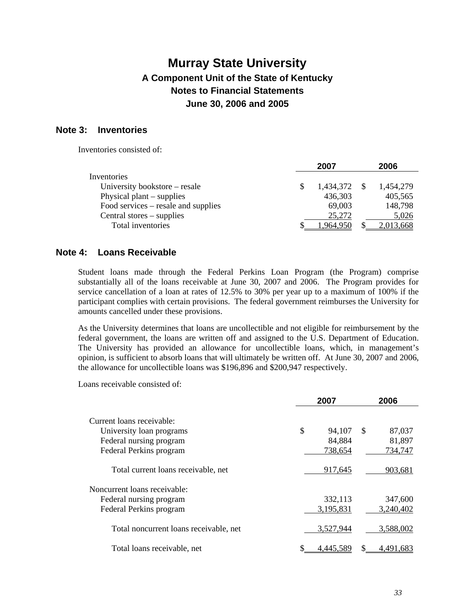### **Note 3: Inventories**

Inventories consisted of:

|                                     | 2007      | 2006      |
|-------------------------------------|-----------|-----------|
| Inventories                         |           |           |
| University bookstore – resale       | 1,434,372 | 1,454,279 |
| Physical plant $-$ supplies         | 436,303   | 405,565   |
| Food services – resale and supplies | 69,003    | 148,798   |
| Central stores – supplies           | 25,272    | 5,026     |
| Total inventories                   | 1,964,950 | 2,013,668 |

### **Note 4: Loans Receivable**

Student loans made through the Federal Perkins Loan Program (the Program) comprise substantially all of the loans receivable at June 30, 2007 and 2006. The Program provides for service cancellation of a loan at rates of 12.5% to 30% per year up to a maximum of 100% if the participant complies with certain provisions. The federal government reimburses the University for amounts cancelled under these provisions.

As the University determines that loans are uncollectible and not eligible for reimbursement by the federal government, the loans are written off and assigned to the U.S. Department of Education. The University has provided an allowance for uncollectible loans, which, in management's opinion, is sufficient to absorb loans that will ultimately be written off. At June 30, 2007 and 2006, the allowance for uncollectible loans was \$196,896 and \$200,947 respectively.

Loans receivable consisted of:

|                                        | 2007         |               | 2006      |
|----------------------------------------|--------------|---------------|-----------|
| Current loans receivable:              |              |               |           |
| University loan programs               | \$<br>94,107 | <sup>\$</sup> | 87,037    |
| Federal nursing program                | 84,884       |               | 81,897    |
| Federal Perkins program                | 738,654      |               | 734,747   |
| Total current loans receivable, net    | 917,645      |               | 903,681   |
| Noncurrent loans receivable:           |              |               |           |
| Federal nursing program                | 332,113      |               | 347,600   |
| Federal Perkins program                | 3,195,831    |               | 3,240,402 |
| Total noncurrent loans receivable, net | 3,527,944    |               | 3,588,002 |
| Total loans receivable, net            | 4.445.589    |               | 4,491,683 |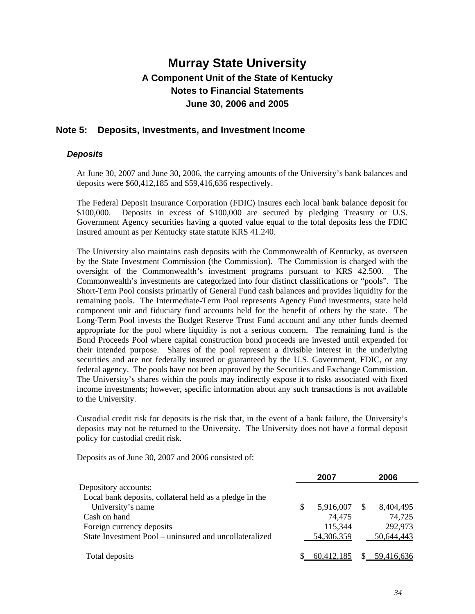### **Note 5: Deposits, Investments, and Investment Income**

#### *Deposits*

At June 30, 2007 and June 30, 2006, the carrying amounts of the University's bank balances and deposits were \$60,412,185 and \$59,416,636 respectively.

The Federal Deposit Insurance Corporation (FDIC) insures each local bank balance deposit for \$100,000. Deposits in excess of \$100,000 are secured by pledging Treasury or U.S. Government Agency securities having a quoted value equal to the total deposits less the FDIC insured amount as per Kentucky state statute KRS 41.240.

The University also maintains cash deposits with the Commonwealth of Kentucky, as overseen by the State Investment Commission (the Commission). The Commission is charged with the oversight of the Commonwealth's investment programs pursuant to KRS 42.500. The Commonwealth's investments are categorized into four distinct classifications or "pools". The Short-Term Pool consists primarily of General Fund cash balances and provides liquidity for the remaining pools. The Intermediate-Term Pool represents Agency Fund investments, state held component unit and fiduciary fund accounts held for the benefit of others by the state. The Long-Term Pool invests the Budget Reserve Trust Fund account and any other funds deemed appropriate for the pool where liquidity is not a serious concern. The remaining fund is the Bond Proceeds Pool where capital construction bond proceeds are invested until expended for their intended purpose. Shares of the pool represent a divisible interest in the underlying securities and are not federally insured or guaranteed by the U.S. Government, FDIC, or any federal agency. The pools have not been approved by the Securities and Exchange Commission. The University's shares within the pools may indirectly expose it to risks associated with fixed income investments; however, specific information about any such transactions is not available to the University.

Custodial credit risk for deposits is the risk that, in the event of a bank failure, the University's deposits may not be returned to the University. The University does not have a formal deposit policy for custodial credit risk.

Deposits as of June 30, 2007 and 2006 consisted of:

|                                                         | 2007       |               | 2006       |
|---------------------------------------------------------|------------|---------------|------------|
| Depository accounts:                                    |            |               |            |
| Local bank deposits, collateral held as a pledge in the |            |               |            |
| University's name                                       | 5,916,007  | <sup>\$</sup> | 8,404,495  |
| Cash on hand                                            | 74,475     |               | 74,725     |
| Foreign currency deposits                               | 115,344    |               | 292,973    |
| State Investment Pool – uninsured and uncollateralized  | 54,306,359 |               | 50,644,443 |
| Total deposits                                          | 60.412.185 |               | 59.416.636 |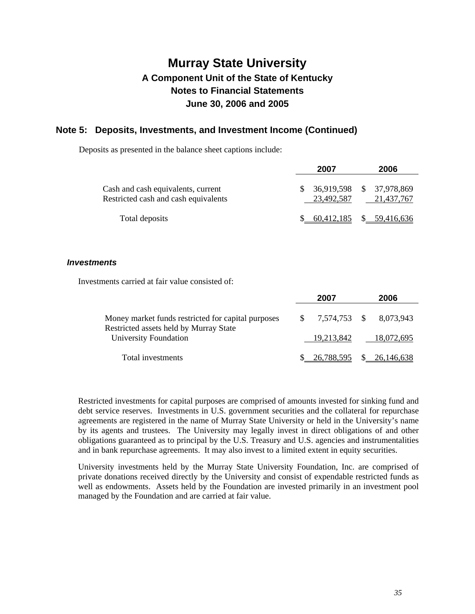### **Note 5: Deposits, Investments, and Investment Income (Continued)**

Deposits as presented in the balance sheet captions include:

|                                                                            | 2007       |  |                                           |
|----------------------------------------------------------------------------|------------|--|-------------------------------------------|
| Cash and cash equivalents, current<br>Restricted cash and cash equivalents | 23.492.587 |  | $$36,919,598$ $$37,978,869$<br>21.437.767 |
| Total deposits                                                             |            |  | $$60,412,185$ $$59,416,636$               |

#### *Investments*

Investments carried at fair value consisted of:

|                                                                                              | 2007                      | 2006         |
|----------------------------------------------------------------------------------------------|---------------------------|--------------|
| Money market funds restricted for capital purposes<br>Restricted assets held by Murray State | $$7,574,753$ $$8,073,943$ |              |
| University Foundation                                                                        | 19.213.842                | 18,072,695   |
| Total investments                                                                            | 26.788.595                | \$26,146,638 |

Restricted investments for capital purposes are comprised of amounts invested for sinking fund and debt service reserves. Investments in U.S. government securities and the collateral for repurchase agreements are registered in the name of Murray State University or held in the University's name by its agents and trustees. The University may legally invest in direct obligations of and other obligations guaranteed as to principal by the U.S. Treasury and U.S. agencies and instrumentalities and in bank repurchase agreements. It may also invest to a limited extent in equity securities.

University investments held by the Murray State University Foundation, Inc. are comprised of private donations received directly by the University and consist of expendable restricted funds as well as endowments. Assets held by the Foundation are invested primarily in an investment pool managed by the Foundation and are carried at fair value.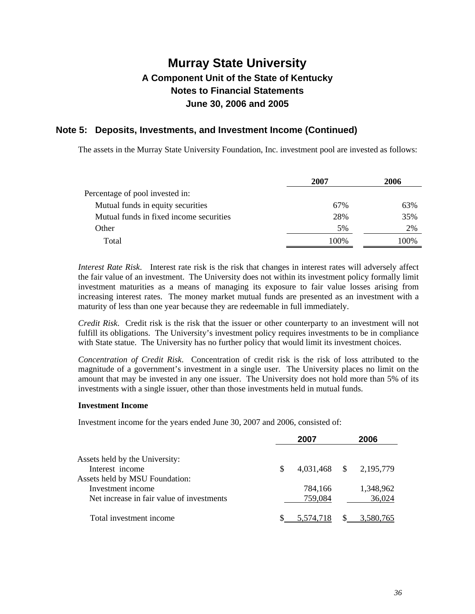### **Note 5: Deposits, Investments, and Investment Income (Continued)**

The assets in the Murray State University Foundation, Inc. investment pool are invested as follows:

|                                         | 2007 | 2006 |
|-----------------------------------------|------|------|
| Percentage of pool invested in:         |      |      |
| Mutual funds in equity securities       | 67%  | 63%  |
| Mutual funds in fixed income securities | 28%  | 35%  |
| Other                                   | 5%   | 2%   |
| Total                                   | 100% | 100% |

*Interest Rate Risk*. Interest rate risk is the risk that changes in interest rates will adversely affect the fair value of an investment. The University does not within its investment policy formally limit investment maturities as a means of managing its exposure to fair value losses arising from increasing interest rates. The money market mutual funds are presented as an investment with a maturity of less than one year because they are redeemable in full immediately.

*Credit Risk*. Credit risk is the risk that the issuer or other counterparty to an investment will not fulfill its obligations. The University's investment policy requires investments to be in compliance with State statue. The University has no further policy that would limit its investment choices.

*Concentration of Credit Risk*. Concentration of credit risk is the risk of loss attributed to the magnitude of a government's investment in a single user. The University places no limit on the amount that may be invested in any one issuer. The University does not hold more than 5% of its investments with a single issuer, other than those investments held in mutual funds.

#### **Investment Income**

Investment income for the years ended June 30, 2007 and 2006, consisted of:

|                                                                                                  |   | 2007               |              | 2006                |
|--------------------------------------------------------------------------------------------------|---|--------------------|--------------|---------------------|
| Assets held by the University:                                                                   |   |                    |              |                     |
| Interest income                                                                                  | S | 4,031,468          | <sup>S</sup> | 2,195,779           |
| Assets held by MSU Foundation:<br>Investment income<br>Net increase in fair value of investments |   | 784.166<br>759,084 |              | 1,348,962<br>36,024 |
| Total investment income                                                                          |   |                    |              | 3.580.765           |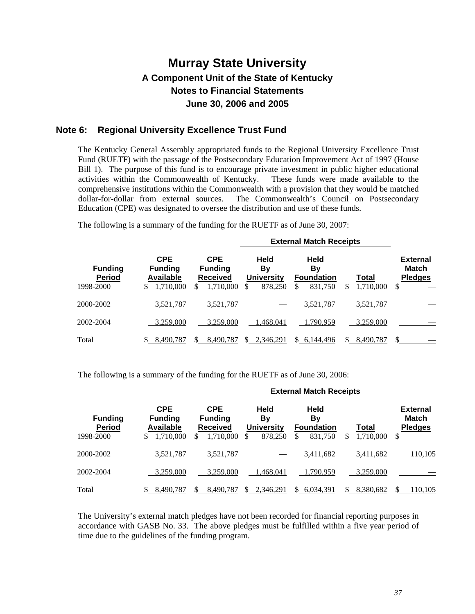### **Note 6: Regional University Excellence Trust Fund**

The Kentucky General Assembly appropriated funds to the Regional University Excellence Trust Fund (RUETF) with the passage of the Postsecondary Education Improvement Act of 1997 (House Bill 1). The purpose of this fund is to encourage private investment in public higher educational activities within the Commonwealth of Kentucky. These funds were made available to the comprehensive institutions within the Commonwealth with a provision that they would be matched dollar-for-dollar from external sources. The Commonwealth's Council on Postsecondary Education (CPE) was designated to oversee the distribution and use of these funds.

The following is a summary of the funding for the RUETF as of June 30, 2007:

|                                              | <b>External Match Receipts</b>                                     |                                                                               |                                                        |                                                 |                          |                                                        |  |
|----------------------------------------------|--------------------------------------------------------------------|-------------------------------------------------------------------------------|--------------------------------------------------------|-------------------------------------------------|--------------------------|--------------------------------------------------------|--|
| <b>Funding</b><br><b>Period</b><br>1998-2000 | <b>CPE</b><br><b>Funding</b><br><b>Available</b><br>1,710,000<br>S | <b>CPE</b><br><b>Funding</b><br><b>Received</b><br>1.710.000<br><sup>\$</sup> | <b>Held</b><br>Bv<br><b>University</b><br>878,250<br>S | Held<br>By<br><b>Foundation</b><br>831,750<br>S | Total<br>\$<br>1,710,000 | <b>External</b><br><b>Match</b><br><b>Pledges</b><br>S |  |
| 2000-2002                                    | 3,521,787                                                          | 3,521,787                                                                     |                                                        | 3,521,787                                       | 3,521,787                |                                                        |  |
| 2002-2004                                    | 3,259,000                                                          | 3.259,000                                                                     | 1.468.041                                              | 1,790,959                                       | 3.259,000                |                                                        |  |
| Total                                        | 8,490,787                                                          | 8.490.787                                                                     | 2.346.291<br>S.                                        | 6,144,496<br>$\mathcal{S}$                      | 8,490,787<br>S.          | \$                                                     |  |

The following is a summary of the funding for the RUETF as of June 30, 2006:

|                                              | <b>External Match Receipts</b>                                      |                                                                     |                                                         |                                                         |                          |                                                         |  |
|----------------------------------------------|---------------------------------------------------------------------|---------------------------------------------------------------------|---------------------------------------------------------|---------------------------------------------------------|--------------------------|---------------------------------------------------------|--|
| <b>Funding</b><br><b>Period</b><br>1998-2000 | <b>CPE</b><br><b>Funding</b><br><b>Available</b><br>1.710.000<br>\$ | <b>CPE</b><br><b>Funding</b><br><b>Received</b><br>1.710.000<br>\$. | <b>Held</b><br>By<br><b>University</b><br>878,250<br>\$ | Held<br><b>By</b><br><b>Foundation</b><br>831.750<br>\$ | Total<br>1,710,000<br>\$ | <b>External</b><br><b>Match</b><br><b>Pledges</b><br>\$ |  |
| 2000-2002                                    | 3,521,787                                                           | 3,521,787                                                           |                                                         | 3,411,682                                               | 3,411,682                | 110,105                                                 |  |
| 2002-2004                                    | 3,259,000                                                           | 3.259,000                                                           | 1,468,041                                               | 1,790,959                                               | 3.259.000                |                                                         |  |
| Total                                        | 8,490,787                                                           | 8.490.787                                                           | 2,346,291<br>S.                                         | 6,034,391<br>\$.                                        | 8,380,682<br>\$          | \$.<br>110,105                                          |  |

The University's external match pledges have not been recorded for financial reporting purposes in accordance with GASB No. 33. The above pledges must be fulfilled within a five year period of time due to the guidelines of the funding program.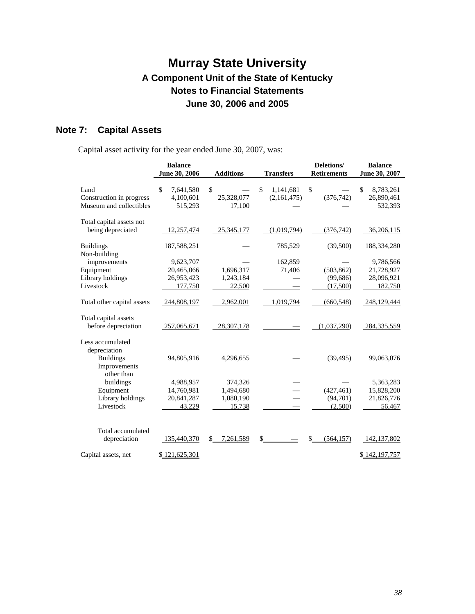### **Note 7: Capital Assets**

Capital asset activity for the year ended June 30, 2007, was:

|                            | <b>Balance</b><br>June 30, 2006 | <b>Additions</b> | <b>Transfers</b> | Deletions/<br><b>Retirements</b> | <b>Balance</b><br>June 30, 2007 |
|----------------------------|---------------------------------|------------------|------------------|----------------------------------|---------------------------------|
|                            |                                 |                  |                  |                                  |                                 |
| Land                       | \$<br>7,641,580                 | \$               | \$<br>1,141,681  | \$                               | \$<br>8,783,261                 |
| Construction in progress   | 4,100,601                       | 25,328,077       | (2,161,475)      | (376, 742)                       | 26,890,461                      |
| Museum and collectibles    | 515,293                         | 17,100           |                  |                                  | 532,393                         |
| Total capital assets not   |                                 |                  |                  |                                  |                                 |
| being depreciated          | 12,257,474                      | 25,345,177       | (1,019,794)      | (376, 742)                       | 36,206,115                      |
| <b>Buildings</b>           | 187,588,251                     |                  | 785,529          | (39,500)                         | 188,334,280                     |
| Non-building               |                                 |                  |                  |                                  |                                 |
| improvements               | 9,623,707                       |                  | 162,859          |                                  | 9,786,566                       |
| Equipment                  | 20,465,066                      | 1,696,317        | 71,406           | (503, 862)                       | 21,728,927                      |
| Library holdings           | 26,953,423                      | 1,243,184        |                  | (99,686)                         | 28,096,921                      |
| Livestock                  | 177,750                         | 22,500           |                  | (17,500)                         | 182,750                         |
| Total other capital assets | 244,808,197                     | 2,962,001        | 1,019,794        | (660, 548)                       | 248,129,444                     |
| Total capital assets       |                                 |                  |                  |                                  |                                 |
| before depreciation        | 257,065,671                     | 28, 307, 178     |                  | (1,037,290)                      | 284, 335, 559                   |
| Less accumulated           |                                 |                  |                  |                                  |                                 |
| depreciation               |                                 |                  |                  |                                  |                                 |
| <b>Buildings</b>           | 94,805,916                      | 4,296,655        |                  | (39, 495)                        | 99,063,076                      |
| Improvements<br>other than |                                 |                  |                  |                                  |                                 |
| buildings                  | 4,988,957                       | 374,326          |                  |                                  | 5,363,283                       |
| Equipment                  | 14,760,981                      | 1,494,680        |                  | (427, 461)                       | 15,828,200                      |
| Library holdings           | 20,841,287                      | 1,080,190        |                  | (94,701)                         | 21,826,776                      |
| Livestock                  | 43,229                          | 15,738           |                  | (2,500)                          | 56,467                          |
|                            |                                 |                  |                  |                                  |                                 |
| Total accumulated          |                                 |                  |                  |                                  |                                 |
| depreciation               | 135,440,370                     | \$<br>7,261,589  | \$               | \$<br>(564, 157)                 | 142, 137, 802                   |
| Capital assets, net        | \$121,625,301                   |                  |                  |                                  | \$142,197,757                   |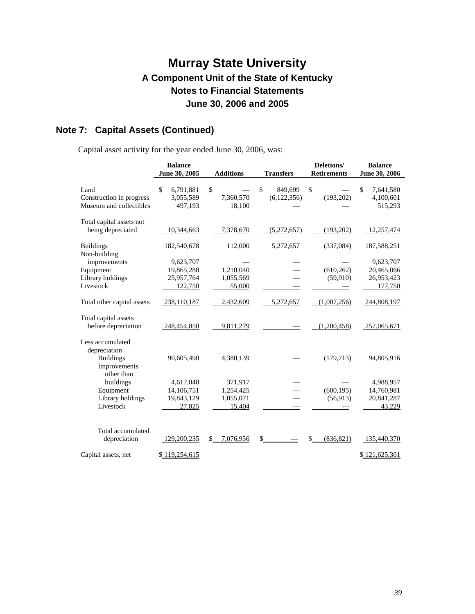### **Note 7: Capital Assets (Continued)**

Capital asset activity for the year ended June 30, 2006, was:

|                            | <b>Balance</b>  |                  |                  | Deletions/         | <b>Balance</b>  |
|----------------------------|-----------------|------------------|------------------|--------------------|-----------------|
|                            | June 30, 2005   | <b>Additions</b> | <b>Transfers</b> | <b>Retirements</b> | June 30, 2006   |
| Land                       | \$<br>6,791,881 | \$               | \$<br>849.699    | \$                 | \$<br>7,641,580 |
| Construction in progress   | 3,055,589       | 7,360,570        | (6,122,356)      | (193,202)          | 4,100,601       |
| Museum and collectibles    | 497,193         | 18,100           |                  |                    | 515,293         |
|                            |                 |                  |                  |                    |                 |
| Total capital assets not   |                 |                  |                  |                    |                 |
| being depreciated          | 10,344,663      | 7,378,670        | (5,272,657)      | (193,202)          | 12,257,474      |
|                            |                 |                  |                  |                    |                 |
| <b>Buildings</b>           | 182,540,678     | 112,000          | 5,272,657        | (337,084)          | 187,588,251     |
| Non-building               |                 |                  |                  |                    |                 |
| improvements               | 9,623,707       |                  |                  |                    | 9,623,707       |
| Equipment                  | 19,865,288      | 1,210,040        |                  | (610, 262)         | 20,465,066      |
| Library holdings           | 25,957,764      | 1,055,569        |                  | (59,910)           | 26,953,423      |
| Livestock                  | 122,750         | 55,000           |                  |                    | 177,750         |
|                            |                 |                  |                  |                    |                 |
| Total other capital assets | 238,110,187     | 2,432,609        | 5,272,657        | (1,007,256)        | 244,808,197     |
| Total capital assets       |                 |                  |                  |                    |                 |
| before depreciation        | 248,454,850     | 9,811,279        |                  | (1,200,458)        | 257,065,671     |
| Less accumulated           |                 |                  |                  |                    |                 |
| depreciation               |                 |                  |                  |                    |                 |
| <b>Buildings</b>           | 90,605,490      | 4,380,139        |                  | (179, 713)         | 94,805,916      |
| Improvements               |                 |                  |                  |                    |                 |
| other than                 |                 |                  |                  |                    |                 |
| buildings                  | 4,617,040       | 371,917          |                  |                    | 4,988,957       |
| Equipment                  | 14,106,751      | 1,254,425        |                  | (600, 195)         | 14,760,981      |
| Library holdings           | 19,843,129      | 1,055,071        |                  | (56, 913)          | 20,841,287      |
| Livestock                  | 27,825          | 15,404           |                  |                    | 43,229          |
|                            |                 |                  |                  |                    |                 |
| Total accumulated          |                 |                  |                  |                    |                 |
| depreciation               | 129,200,235     | 7,076,956<br>\$  | \$               | (836, 821)<br>\$   | 135,440,370     |
|                            |                 |                  |                  |                    |                 |
| Capital assets, net        | \$119,254,615   |                  |                  |                    | \$121,625,301   |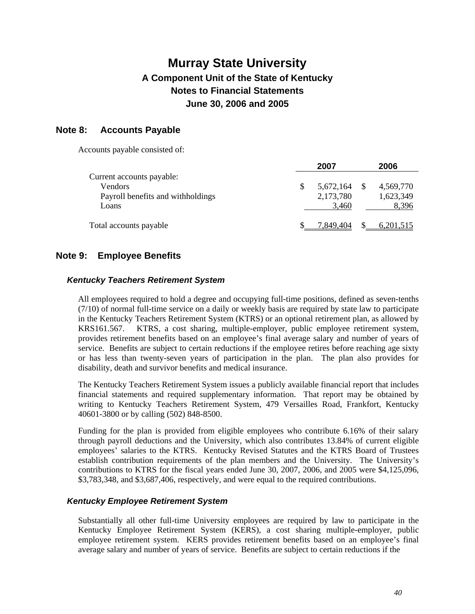### **Note 8: Accounts Payable**

Accounts payable consisted of:

|                                   | 2007      | 2006      |
|-----------------------------------|-----------|-----------|
| Current accounts payable:         |           |           |
| Vendors                           | 5,672,164 | 4,569,770 |
| Payroll benefits and withholdings | 2,173,780 | 1,623,349 |
| Loans                             | 3,460     | 8,396     |
| Total accounts payable            | 7,849,404 | 6,201,515 |

### **Note 9: Employee Benefits**

#### *Kentucky Teachers Retirement System*

All employees required to hold a degree and occupying full-time positions, defined as seven-tenths (7/10) of normal full-time service on a daily or weekly basis are required by state law to participate in the Kentucky Teachers Retirement System (KTRS) or an optional retirement plan, as allowed by KRS161.567. KTRS, a cost sharing, multiple-employer, public employee retirement system, provides retirement benefits based on an employee's final average salary and number of years of service. Benefits are subject to certain reductions if the employee retires before reaching age sixty or has less than twenty-seven years of participation in the plan. The plan also provides for disability, death and survivor benefits and medical insurance.

The Kentucky Teachers Retirement System issues a publicly available financial report that includes financial statements and required supplementary information. That report may be obtained by writing to Kentucky Teachers Retirement System, 479 Versailles Road, Frankfort, Kentucky 40601-3800 or by calling (502) 848-8500.

Funding for the plan is provided from eligible employees who contribute 6.16% of their salary through payroll deductions and the University, which also contributes 13.84% of current eligible employees' salaries to the KTRS. Kentucky Revised Statutes and the KTRS Board of Trustees establish contribution requirements of the plan members and the University. The University's contributions to KTRS for the fiscal years ended June 30, 2007, 2006, and 2005 were \$4,125,096, \$3,783,348, and \$3,687,406, respectively, and were equal to the required contributions.

#### *Kentucky Employee Retirement System*

Substantially all other full-time University employees are required by law to participate in the Kentucky Employee Retirement System (KERS), a cost sharing multiple-employer, public employee retirement system. KERS provides retirement benefits based on an employee's final average salary and number of years of service. Benefits are subject to certain reductions if the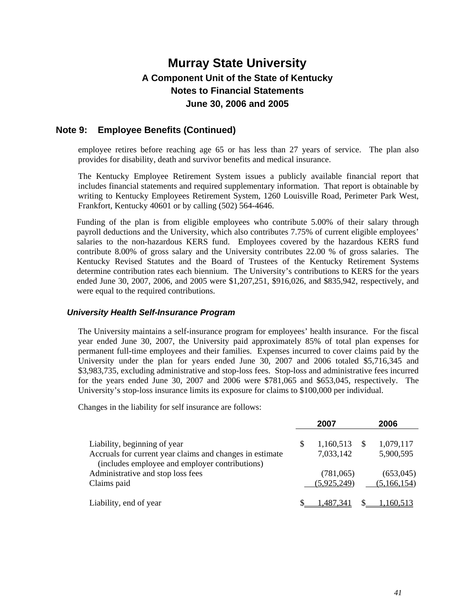### **Note 9: Employee Benefits (Continued)**

employee retires before reaching age 65 or has less than 27 years of service. The plan also provides for disability, death and survivor benefits and medical insurance.

The Kentucky Employee Retirement System issues a publicly available financial report that includes financial statements and required supplementary information. That report is obtainable by writing to Kentucky Employees Retirement System, 1260 Louisville Road, Perimeter Park West, Frankfort, Kentucky 40601 or by calling (502) 564-4646.

Funding of the plan is from eligible employees who contribute 5.00% of their salary through payroll deductions and the University, which also contributes 7.75% of current eligible employees' salaries to the non-hazardous KERS fund. Employees covered by the hazardous KERS fund contribute 8.00% of gross salary and the University contributes 22.00 % of gross salaries. The Kentucky Revised Statutes and the Board of Trustees of the Kentucky Retirement Systems determine contribution rates each biennium. The University's contributions to KERS for the years ended June 30, 2007, 2006, and 2005 were \$1,207,251, \$916,026, and \$835,942, respectively, and were equal to the required contributions.

#### *University Health Self-Insurance Program*

The University maintains a self-insurance program for employees' health insurance. For the fiscal year ended June 30, 2007, the University paid approximately 85% of total plan expenses for permanent full-time employees and their families. Expenses incurred to cover claims paid by the University under the plan for years ended June 30, 2007 and 2006 totaled \$5,716,345 and \$3,983,735, excluding administrative and stop-loss fees. Stop-loss and administrative fees incurred for the years ended June 30, 2007 and 2006 were \$781,065 and \$653,045, respectively. The University's stop-loss insurance limits its exposure for claims to \$100,000 per individual.

Changes in the liability for self insurance are follows:

|                                                          | 2007        | 2006        |
|----------------------------------------------------------|-------------|-------------|
|                                                          |             |             |
| Liability, beginning of year                             | 1,160,513   | 1,079,117   |
| Accruals for current year claims and changes in estimate | 7,033,142   | 5,900,595   |
| (includes employee and employer contributions)           |             |             |
| Administrative and stop loss fees                        | (781,065)   | (653,045)   |
| Claims paid                                              | (5,925,249) | (5,166,154) |
|                                                          |             |             |
| Liability, end of year                                   | ,487,341    | .160.513    |
|                                                          |             |             |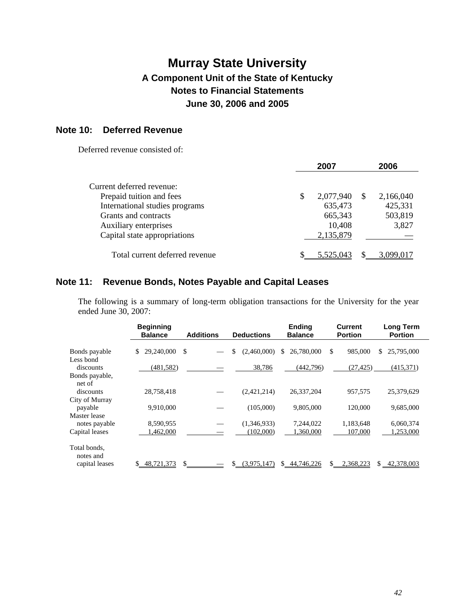### **Note 10: Deferred Revenue**

Deferred revenue consisted of:

|                                |   | 2007      |    | 2006      |
|--------------------------------|---|-----------|----|-----------|
|                                |   |           |    |           |
| Current deferred revenue:      |   |           |    |           |
| Prepaid tuition and fees       | S | 2,077,940 | -S | 2,166,040 |
| International studies programs |   | 635,473   |    | 425,331   |
| Grants and contracts           |   | 665,343   |    | 503,819   |
| Auxiliary enterprises          |   | 10,408    |    | 3,827     |
| Capital state appropriations   |   | 2,135,879 |    |           |
| Total current deferred revenue |   | 5.525.043 |    | 3.099.017 |

### **Note 11: Revenue Bonds, Notes Payable and Capital Leases**

The following is a summary of long-term obligation transactions for the University for the year ended June 30, 2007:

|                                             | <b>Beginning</b><br><b>Balance</b> | <b>Additions</b> | <b>Deductions</b> | <b>Ending</b><br><b>Balance</b> | <b>Current</b><br><b>Portion</b> | <b>Long Term</b><br><b>Portion</b> |
|---------------------------------------------|------------------------------------|------------------|-------------------|---------------------------------|----------------------------------|------------------------------------|
| Bonds payable                               | 29,240,000<br>\$                   | \$               | \$<br>(2,460,000) | 26,780,000<br>S.                | \$<br>985,000                    | 25,795,000<br>\$.                  |
| Less bond<br>discounts                      | (481, 582)                         |                  | 38,786            | (442, 796)                      | (27, 425)                        | (415,371)                          |
| Bonds payable,<br>net of<br>discounts       | 28,758,418                         |                  | (2,421,214)       | 26.337.204                      | 957.575                          | 25,379,629                         |
| City of Murray<br>payable                   | 9,910,000                          |                  | (105,000)         | 9,805,000                       | 120,000                          | 9,685,000                          |
| Master lease<br>notes payable               | 8,590,955                          |                  | (1,346,933)       | 7,244,022                       | 1,183,648                        | 6,060,374                          |
| Capital leases                              | ,462,000                           |                  | (102,000)         | ,360,000                        | 107,000                          | 1,253,000                          |
| Total bonds,<br>notes and<br>capital leases | 48,721,373<br>S.                   | \$.              | (3,975,147)       | 44,746,226<br>\$.               | \$.<br>2,368,223                 | 42,378,003<br>\$                   |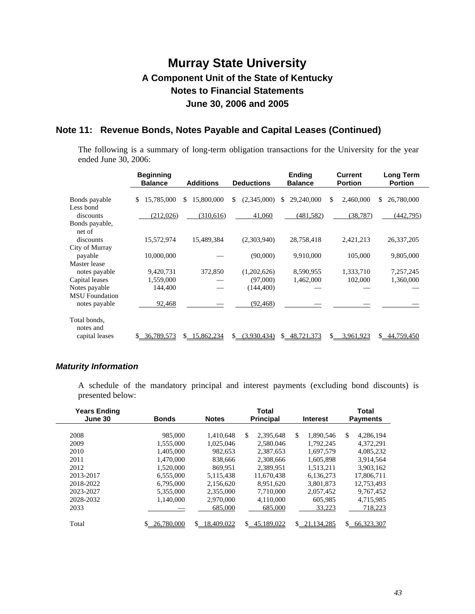### **Note 11: Revenue Bonds, Notes Payable and Capital Leases (Continued)**

The following is a summary of long-term obligation transactions for the University for the year ended June 30, 2006:

|                           | <b>Beginning</b><br><b>Balance</b> | <b>Additions</b>  | <b>Deductions</b> | <b>Ending</b><br><b>Balance</b> | <b>Current</b><br><b>Portion</b> | <b>Long Term</b><br><b>Portion</b> |
|---------------------------|------------------------------------|-------------------|-------------------|---------------------------------|----------------------------------|------------------------------------|
| Bonds payable             | 15,785,000<br>\$                   | 15,800,000<br>\$. | (2,345,000)<br>\$ | 29,240,000<br>\$.               | 2,460,000<br>\$                  | 26,780,000<br>S.                   |
| Less bond                 |                                    |                   |                   |                                 |                                  |                                    |
| discounts                 | (212,026)                          | (310,616)         | 41,060            | (481, 582)                      | (38, 787)                        | (442, 795)                         |
| Bonds payable,            |                                    |                   |                   |                                 |                                  |                                    |
| net of                    |                                    |                   |                   |                                 |                                  |                                    |
| discounts                 | 15,572,974                         | 15,489,384        | (2,303,940)       | 28,758,418                      | 2,421,213                        | 26, 337, 205                       |
| City of Murray            |                                    |                   |                   |                                 |                                  |                                    |
| payable                   | 10,000,000                         |                   | (90,000)          | 9,910,000                       | 105,000                          | 9,805,000                          |
| Master lease              |                                    |                   |                   |                                 |                                  |                                    |
| notes payable             | 9,420,731                          | 372,850           | (1,202,626)       | 8,590,955                       | 1,333,710                        | 7,257,245                          |
| Capital leases            | 1,559,000                          |                   | (97,000)          | 1,462,000                       | 102,000                          | 1,360,000                          |
| Notes payable             | 144,400                            |                   | (144, 400)        |                                 |                                  |                                    |
| <b>MSU</b> Foundation     |                                    |                   |                   |                                 |                                  |                                    |
| notes payable             | 92,468                             |                   | (92, 468)         |                                 |                                  |                                    |
| Total bonds,<br>notes and |                                    |                   |                   |                                 |                                  |                                    |
| capital leases            | 36,789,573<br>S.                   | 15,862,234<br>S.  | (3,930,434)<br>\$ | 48.721.373                      | 3.961.923                        | 44,759,450<br>S.                   |

#### *Maturity Information*

A schedule of the mandatory principal and interest payments (excluding bond discounts) is presented below:

| <b>Years Ending</b> |              |              | Total            |                  | <b>Total</b>      |
|---------------------|--------------|--------------|------------------|------------------|-------------------|
| June 30             | <b>Bonds</b> | <b>Notes</b> | <b>Principal</b> | <b>Interest</b>  | <b>Payments</b>   |
|                     |              |              |                  |                  |                   |
| 2008                | 985,000      | 1,410,648    | \$<br>2,395,648  | \$<br>1.890.546  | 4,286,194<br>-S   |
| 2009                | 1.555,000    | 1.025.046    | 2.580.046        | 1.792.245        | 4.372.291         |
| 2010                | 1.405.000    | 982.653      | 2,387,653        | 1,697,579        | 4,085,232         |
| 2011                | 1.470.000    | 838,666      | 2.308.666        | 1,605,898        | 3.914.564         |
| 2012                | 1,520,000    | 869.951      | 2.389.951        | 1.513.211        | 3.903.162         |
| 2013-2017           | 6.555,000    | 5.115.438    | 11.670.438       | 6.136.273        | 17,806,711        |
| 2018-2022           | 6.795,000    | 2.156.620    | 8.951.620        | 3.801.873        | 12.753.493        |
| 2023-2027           | 5,355,000    | 2,355,000    | 7,710,000        | 2,057,452        | 9,767,452         |
| 2028-2032           | 1.140.000    | 2,970,000    | 4.110.000        | 605.985          | 4,715,985         |
| 2033                |              | 685,000      | 685,000          | 33,223           | 718,223           |
|                     |              |              |                  |                  |                   |
| Total               | 26,780,000   | \$18,409,022 | \$<br>45.189.022 | S.<br>21.134.285 | \$.<br>66,323,307 |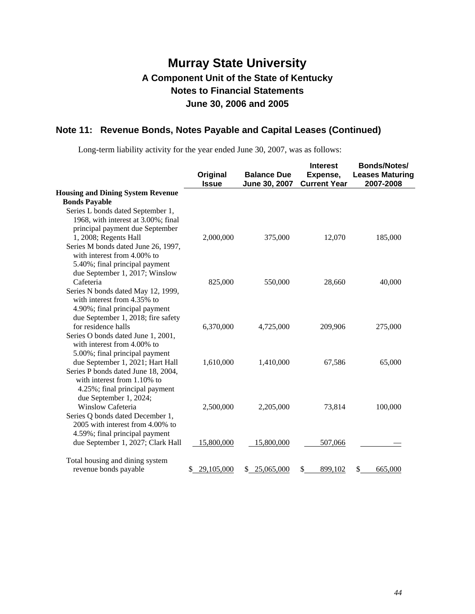### **Note 11: Revenue Bonds, Notes Payable and Capital Leases (Continued)**

Long-term liability activity for the year ended June 30, 2007, was as follows:

|                                          | Original<br><b>Issue</b> | <b>Balance Due</b><br>June 30, 2007 | <b>Interest</b><br>Expense,<br><b>Current Year</b> | <b>Bonds/Notes/</b><br><b>Leases Maturing</b><br>2007-2008 |
|------------------------------------------|--------------------------|-------------------------------------|----------------------------------------------------|------------------------------------------------------------|
| <b>Housing and Dining System Revenue</b> |                          |                                     |                                                    |                                                            |
| <b>Bonds Payable</b>                     |                          |                                     |                                                    |                                                            |
| Series L bonds dated September 1,        |                          |                                     |                                                    |                                                            |
| 1968, with interest at 3.00%; final      |                          |                                     |                                                    |                                                            |
| principal payment due September          |                          |                                     |                                                    |                                                            |
| 1, 2008; Regents Hall                    | 2,000,000                | 375,000                             | 12,070                                             | 185,000                                                    |
| Series M bonds dated June 26, 1997,      |                          |                                     |                                                    |                                                            |
| with interest from 4.00% to              |                          |                                     |                                                    |                                                            |
| 5.40%; final principal payment           |                          |                                     |                                                    |                                                            |
| due September 1, 2017; Winslow           |                          |                                     |                                                    |                                                            |
| Cafeteria                                | 825,000                  | 550,000                             | 28,660                                             | 40,000                                                     |
| Series N bonds dated May 12, 1999,       |                          |                                     |                                                    |                                                            |
| with interest from 4.35% to              |                          |                                     |                                                    |                                                            |
| 4.90%; final principal payment           |                          |                                     |                                                    |                                                            |
| due September 1, 2018; fire safety       |                          |                                     |                                                    |                                                            |
| for residence halls                      | 6,370,000                | 4,725,000                           | 209,906                                            | 275,000                                                    |
| Series O bonds dated June 1, 2001,       |                          |                                     |                                                    |                                                            |
| with interest from 4.00% to              |                          |                                     |                                                    |                                                            |
| 5.00%; final principal payment           |                          |                                     |                                                    |                                                            |
| due September 1, 2021; Hart Hall         | 1,610,000                | 1,410,000                           | 67,586                                             | 65,000                                                     |
| Series P bonds dated June 18, 2004,      |                          |                                     |                                                    |                                                            |
| with interest from 1.10% to              |                          |                                     |                                                    |                                                            |
| 4.25%; final principal payment           |                          |                                     |                                                    |                                                            |
| due September 1, 2024;                   |                          |                                     |                                                    |                                                            |
| <b>Winslow Cafeteria</b>                 | 2,500,000                | 2,205,000                           | 73,814                                             | 100,000                                                    |
| Series Q bonds dated December 1,         |                          |                                     |                                                    |                                                            |
| 2005 with interest from 4.00% to         |                          |                                     |                                                    |                                                            |
| 4.59%; final principal payment           |                          |                                     |                                                    |                                                            |
| due September 1, 2027; Clark Hall        | 15,800,000               | 15,800,000                          | 507,066                                            |                                                            |
| Total housing and dining system          |                          |                                     |                                                    |                                                            |
| revenue bonds payable                    | \$<br>29,105,000         | 25,065,000<br>\$                    | \$<br>899,102                                      | \$<br>665,000                                              |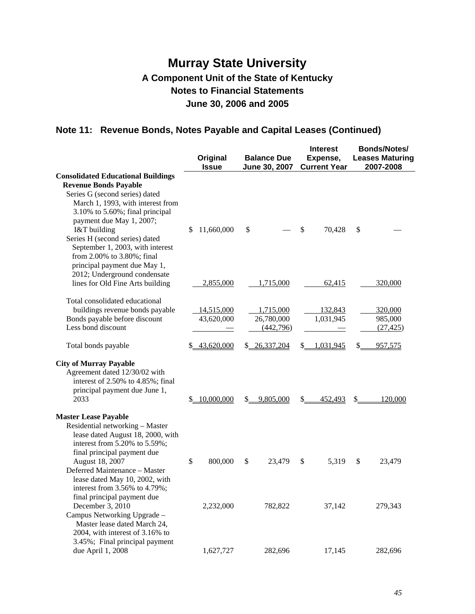### **Note 11: Revenue Bonds, Notes Payable and Capital Leases (Continued)**

|                                                                                                                                                                                                                                                                                                                                                                     | Original<br><b>Issue</b> | <b>Balance Due</b><br>June 30, 2007  | <b>Interest</b><br>Expense,<br><b>Current Year</b> | <b>Bonds/Notes/</b><br><b>Leases Maturing</b><br>2007-2008 |
|---------------------------------------------------------------------------------------------------------------------------------------------------------------------------------------------------------------------------------------------------------------------------------------------------------------------------------------------------------------------|--------------------------|--------------------------------------|----------------------------------------------------|------------------------------------------------------------|
| <b>Consolidated Educational Buildings</b><br><b>Revenue Bonds Payable</b><br>Series G (second series) dated<br>March 1, 1993, with interest from<br>3.10% to 5.60%; final principal<br>payment due May 1, 2007;<br>I&T building<br>Series H (second series) dated<br>September 1, 2003, with interest<br>from 2.00% to 3.80%; final<br>principal payment due May 1, | 11,660,000<br>\$         | \$                                   | \$<br>70,428                                       | \$                                                         |
| 2012; Underground condensate<br>lines for Old Fine Arts building                                                                                                                                                                                                                                                                                                    | 2,855,000                | 1,715,000                            | 62,415                                             | 320,000                                                    |
| Total consolidated educational<br>buildings revenue bonds payable<br>Bonds payable before discount<br>Less bond discount                                                                                                                                                                                                                                            | 14,515,000<br>43,620,000 | 1,715,000<br>26,780,000<br>(442,796) | 132,843<br>1,031,945                               | 320,000<br>985,000<br>(27, 425)                            |
| Total bonds payable                                                                                                                                                                                                                                                                                                                                                 | 43,620,000<br>S.         | \$ 26,337,204                        | 1,031,945<br>S.                                    | \$<br>957,575                                              |
| <b>City of Murray Payable</b><br>Agreement dated 12/30/02 with<br>interest of 2.50% to 4.85%; final<br>principal payment due June 1,<br>2033                                                                                                                                                                                                                        | 10,000,000<br>\$         | \$<br>9,805,000                      | \$<br>452,493                                      | \$<br>120,000                                              |
| <b>Master Lease Payable</b><br>Residential networking - Master<br>lease dated August 18, 2000, with<br>interest from 5.20% to 5.59%;<br>final principal payment due<br>August 18, 2007<br>Deferred Maintenance - Master<br>lease dated May 10, 2002, with<br>interest from 3.56% to 4.79%;                                                                          | \$<br>800,000            | \$<br>23,479                         | \$<br>5,319                                        | \$<br>23,479                                               |
| final principal payment due<br>December 3, 2010<br>Campus Networking Upgrade -<br>Master lease dated March 24,<br>2004, with interest of 3.16% to<br>3.45%; Final principal payment                                                                                                                                                                                 | 2,232,000                | 782,822                              | 37,142                                             | 279,343                                                    |
| due April 1, 2008                                                                                                                                                                                                                                                                                                                                                   | 1,627,727                | 282,696                              | 17,145                                             | 282,696                                                    |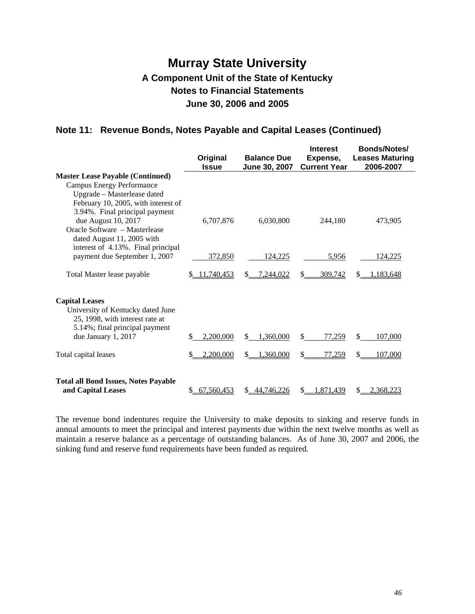### **Note 11: Revenue Bonds, Notes Payable and Capital Leases (Continued)**

|                                                                                                                                                                                                            | Original<br><b>Issue</b> | <b>Balance Due</b><br>June 30, 2007 | <b>Interest</b><br>Expense,<br><b>Current Year</b> | <b>Bonds/Notes/</b><br><b>Leases Maturing</b><br>2006-2007 |
|------------------------------------------------------------------------------------------------------------------------------------------------------------------------------------------------------------|--------------------------|-------------------------------------|----------------------------------------------------|------------------------------------------------------------|
| <b>Master Lease Payable (Continued)</b><br><b>Campus Energy Performance</b><br>Upgrade - Masterlease dated<br>February 10, 2005, with interest of<br>3.94%. Final principal payment<br>due August 10, 2017 | 6,707,876                | 6,030,800                           | 244,180                                            | 473,905                                                    |
| Oracle Software - Masterlease<br>dated August 11, 2005 with<br>interest of 4.13%. Final principal<br>payment due September 1, 2007                                                                         | 372,850                  | 124,225                             | 5,956                                              | 124,225                                                    |
| Total Master lease payable                                                                                                                                                                                 | 11.740.453               | 7.244,022<br>S.                     | 309.742                                            | .183.648                                                   |
| <b>Capital Leases</b><br>University of Kentucky dated June<br>25, 1998, with interest rate at<br>5.14%; final principal payment<br>due January 1, 2017                                                     | 2,200,000<br>S           | 1,360,000<br>\$                     | \$<br>77,259                                       | 107,000<br>\$.                                             |
| Total capital leases                                                                                                                                                                                       | 2,200,000                | ,360,000<br>\$                      | 77,259<br>\$                                       | 107,000                                                    |
| <b>Total all Bond Issues, Notes Payable</b><br>and Capital Leases                                                                                                                                          | 67,560,453<br>S.         | 44,746,226<br>S.                    | 1,871,439<br>S                                     | 2,368,223<br>S                                             |

The revenue bond indentures require the University to make deposits to sinking and reserve funds in annual amounts to meet the principal and interest payments due within the next twelve months as well as maintain a reserve balance as a percentage of outstanding balances. As of June 30, 2007 and 2006, the sinking fund and reserve fund requirements have been funded as required.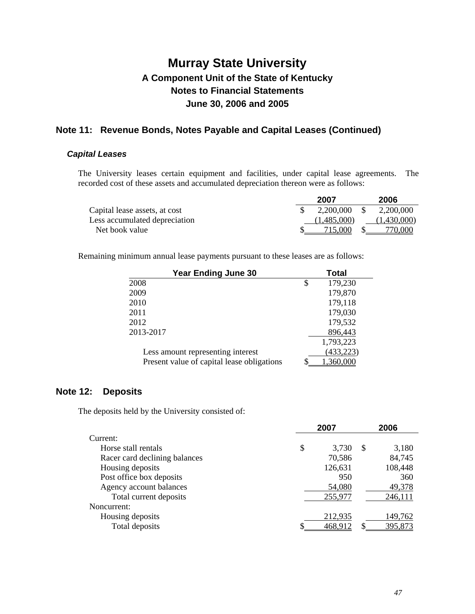### **Note 11: Revenue Bonds, Notes Payable and Capital Leases (Continued)**

#### *Capital Leases*

The University leases certain equipment and facilities, under capital lease agreements. The recorded cost of these assets and accumulated depreciation thereon were as follows:

|                               | 2007        | 2006        |
|-------------------------------|-------------|-------------|
| Capital lease assets, at cost | 2,200,000   | 2,200,000   |
| Less accumulated depreciation | (1,485,000) | (1,430,000) |
| Net book value                | 715.000     | 770,000     |

Remaining minimum annual lease payments pursuant to these leases are as follows:

| <b>Year Ending June 30</b>                 | <b>Total</b>  |
|--------------------------------------------|---------------|
| 2008                                       | \$<br>179,230 |
| 2009                                       | 179,870       |
| 2010                                       | 179,118       |
| 2011                                       | 179,030       |
| 2012                                       | 179,532       |
| 2013-2017                                  | 896,443       |
|                                            | 1,793,223     |
| Less amount representing interest          | (433, 223)    |
| Present value of capital lease obligations | 360.000       |

### **Note 12: Deposits**

The deposits held by the University consisted of:

|                               | 2007        |              | 2006    |
|-------------------------------|-------------|--------------|---------|
| Current:                      |             |              |         |
| Horse stall rentals           | \$<br>3,730 | <sup>S</sup> | 3,180   |
| Racer card declining balances | 70,586      |              | 84,745  |
| Housing deposits              | 126,631     |              | 108,448 |
| Post office box deposits      | 950         |              | 360     |
| Agency account balances       | 54,080      |              | 49,378  |
| Total current deposits        | 255,977     |              | 246,111 |
| Noncurrent:                   |             |              |         |
| Housing deposits              | 212,935     |              | 149,762 |
| Total deposits                | 468,912     |              | 395,873 |
|                               |             |              |         |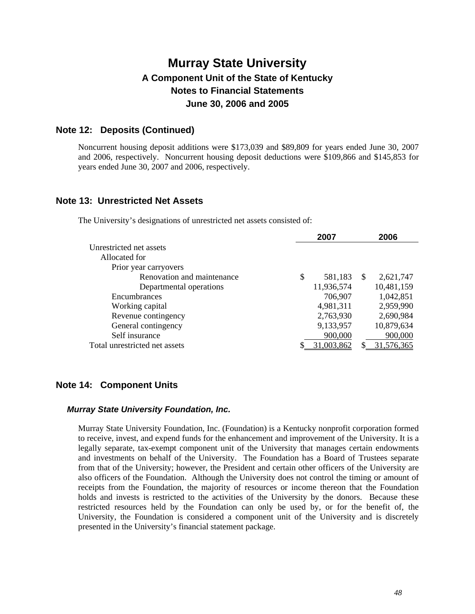### **Note 12: Deposits (Continued)**

Noncurrent housing deposit additions were \$173,039 and \$89,809 for years ended June 30, 2007 and 2006, respectively. Noncurrent housing deposit deductions were \$109,866 and \$145,853 for years ended June 30, 2007 and 2006, respectively.

### **Note 13: Unrestricted Net Assets**

The University's designations of unrestricted net assets consisted of:

|                               | 2007          |               | 2006       |
|-------------------------------|---------------|---------------|------------|
| Unrestricted net assets       |               |               |            |
| Allocated for                 |               |               |            |
| Prior year carryovers         |               |               |            |
| Renovation and maintenance    | \$<br>581,183 | <sup>\$</sup> | 2,621,747  |
| Departmental operations       | 11,936,574    |               | 10,481,159 |
| Encumbrances                  | 706,907       |               | 1,042,851  |
| Working capital               | 4,981,311     |               | 2,959,990  |
| Revenue contingency           | 2,763,930     |               | 2,690,984  |
| General contingency           | 9,133,957     |               | 10,879,634 |
| Self insurance                | 900,000       |               | 900,000    |
| Total unrestricted net assets | 31,003,862    |               | 31,576,365 |
|                               |               |               |            |

### **Note 14: Component Units**

#### *Murray State University Foundation, Inc.*

Murray State University Foundation, Inc. (Foundation) is a Kentucky nonprofit corporation formed to receive, invest, and expend funds for the enhancement and improvement of the University. It is a legally separate, tax-exempt component unit of the University that manages certain endowments and investments on behalf of the University. The Foundation has a Board of Trustees separate from that of the University; however, the President and certain other officers of the University are also officers of the Foundation. Although the University does not control the timing or amount of receipts from the Foundation, the majority of resources or income thereon that the Foundation holds and invests is restricted to the activities of the University by the donors. Because these restricted resources held by the Foundation can only be used by, or for the benefit of, the University, the Foundation is considered a component unit of the University and is discretely presented in the University's financial statement package.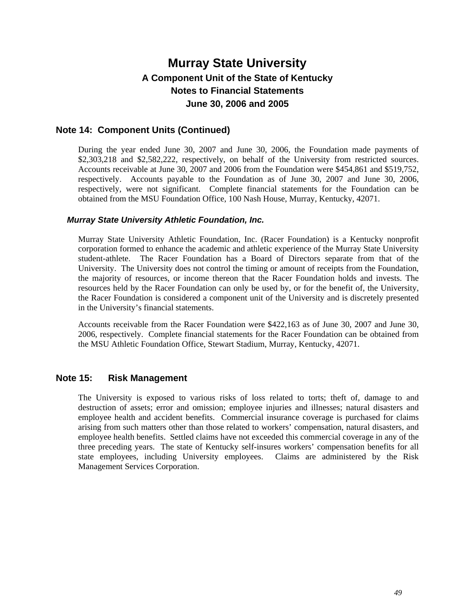### **Note 14: Component Units (Continued)**

During the year ended June 30, 2007 and June 30, 2006, the Foundation made payments of \$2,303,218 and \$2,582,222, respectively, on behalf of the University from restricted sources. Accounts receivable at June 30, 2007 and 2006 from the Foundation were \$454,861 and \$519,752, respectively. Accounts payable to the Foundation as of June 30, 2007 and June 30, 2006, respectively, were not significant. Complete financial statements for the Foundation can be obtained from the MSU Foundation Office, 100 Nash House, Murray, Kentucky, 42071.

#### *Murray State University Athletic Foundation, Inc.*

Murray State University Athletic Foundation, Inc. (Racer Foundation) is a Kentucky nonprofit corporation formed to enhance the academic and athletic experience of the Murray State University student-athlete. The Racer Foundation has a Board of Directors separate from that of the University. The University does not control the timing or amount of receipts from the Foundation, the majority of resources, or income thereon that the Racer Foundation holds and invests. The resources held by the Racer Foundation can only be used by, or for the benefit of, the University, the Racer Foundation is considered a component unit of the University and is discretely presented in the University's financial statements.

Accounts receivable from the Racer Foundation were \$422,163 as of June 30, 2007 and June 30, 2006, respectively. Complete financial statements for the Racer Foundation can be obtained from the MSU Athletic Foundation Office, Stewart Stadium, Murray, Kentucky, 42071.

#### **Note 15: Risk Management**

The University is exposed to various risks of loss related to torts; theft of, damage to and destruction of assets; error and omission; employee injuries and illnesses; natural disasters and employee health and accident benefits. Commercial insurance coverage is purchased for claims arising from such matters other than those related to workers' compensation, natural disasters, and employee health benefits. Settled claims have not exceeded this commercial coverage in any of the three preceding years. The state of Kentucky self-insures workers' compensation benefits for all state employees, including University employees. Claims are administered by the Risk Management Services Corporation.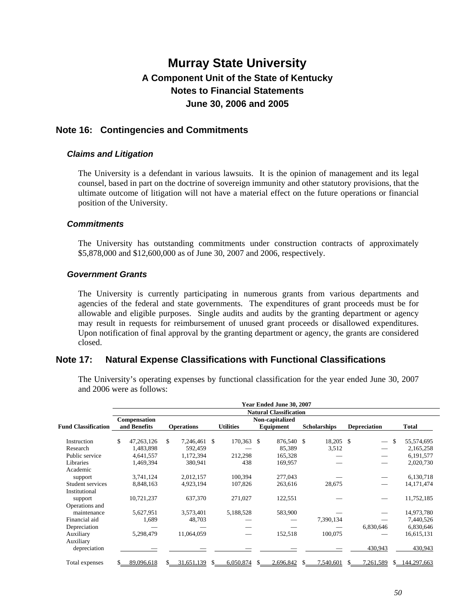### **Note 16: Contingencies and Commitments**

#### *Claims and Litigation*

The University is a defendant in various lawsuits. It is the opinion of management and its legal counsel, based in part on the doctrine of sovereign immunity and other statutory provisions, that the ultimate outcome of litigation will not have a material effect on the future operations or financial position of the University.

#### *Commitments*

The University has outstanding commitments under construction contracts of approximately \$5,878,000 and \$12,600,000 as of June 30, 2007 and 2006, respectively.

#### *Government Grants*

The University is currently participating in numerous grants from various departments and agencies of the federal and state governments. The expenditures of grant proceeds must be for allowable and eligible purposes. Single audits and audits by the granting department or agency may result in requests for reimbursement of unused grant proceeds or disallowed expenditures. Upon notification of final approval by the granting department or agency, the grants are considered closed.

### **Note 17: Natural Expense Classifications with Functional Classifications**

|                            |                               |                              |     |                   |    |                  |   | Year Ended June 30, 2007     |   |                     |  |                     |    |              |
|----------------------------|-------------------------------|------------------------------|-----|-------------------|----|------------------|---|------------------------------|---|---------------------|--|---------------------|----|--------------|
|                            | <b>Natural Classification</b> |                              |     |                   |    |                  |   |                              |   |                     |  |                     |    |              |
| <b>Fund Classification</b> |                               | Compensation<br>and Benefits |     | <b>Operations</b> |    | <b>Utilities</b> |   | Non-capitalized<br>Equipment |   | <b>Scholarships</b> |  | <b>Depreciation</b> |    | <b>Total</b> |
| Instruction                | \$                            | 47,263,126                   | \$. | 7,246,461 \$      |    | 170,363 \$       |   | 876,540 \$                   |   | 18,205 \$           |  |                     | \$ | 55,574,695   |
| Research                   |                               | 1,483,898                    |     | 592,459           |    |                  |   | 85,389                       |   | 3,512               |  |                     |    | 2,165,258    |
| Public service             |                               | 4,641,557                    |     | 1,172,394         |    | 212,298          |   | 165,328                      |   |                     |  |                     |    | 6,191,577    |
| Libraries                  |                               | 1,469,394                    |     | 380,941           |    | 438              |   | 169,957                      |   |                     |  |                     |    | 2,020,730    |
| Academic                   |                               |                              |     |                   |    |                  |   |                              |   |                     |  |                     |    |              |
| support                    |                               | 3,741,124                    |     | 2,012,157         |    | 100,394          |   | 277,043                      |   |                     |  |                     |    | 6,130,718    |
| Student services           |                               | 8,848,163                    |     | 4,923,194         |    | 107,826          |   | 263,616                      |   | 28,675              |  |                     |    | 14, 171, 474 |
| Institutional              |                               |                              |     |                   |    |                  |   |                              |   |                     |  |                     |    |              |
| support                    |                               | 10,721,237                   |     | 637,370           |    | 271,027          |   | 122,551                      |   |                     |  |                     |    | 11,752,185   |
| Operations and             |                               |                              |     |                   |    |                  |   |                              |   |                     |  |                     |    |              |
| maintenance                |                               | 5,627,951                    |     | 3,573,401         |    | 5,188,528        |   | 583,900                      |   |                     |  |                     |    | 14,973,780   |
| Financial aid              |                               | 1,689                        |     | 48,703            |    |                  |   |                              |   | 7,390,134           |  |                     |    | 7,440,526    |
| Depreciation               |                               |                              |     |                   |    |                  |   |                              |   |                     |  | 6,830,646           |    | 6,830,646    |
| Auxiliary                  |                               | 5,298,479                    |     | 11,064,059        |    |                  |   | 152,518                      |   | 100,075             |  |                     |    | 16,615,131   |
| Auxiliary                  |                               |                              |     |                   |    |                  |   |                              |   |                     |  |                     |    |              |
| depreciation               |                               |                              |     |                   |    |                  |   |                              |   |                     |  | 430,943             |    | 430,943      |
| Total expenses             |                               | 89,096,618                   | S.  | 31,651,139        | S. | 6,050,874        | S | 2,696,842                    | S | 7,540,601           |  | 7,261,589           | S. | 144,297,663  |

The University's operating expenses by functional classification for the year ended June 30, 2007 and 2006 were as follows: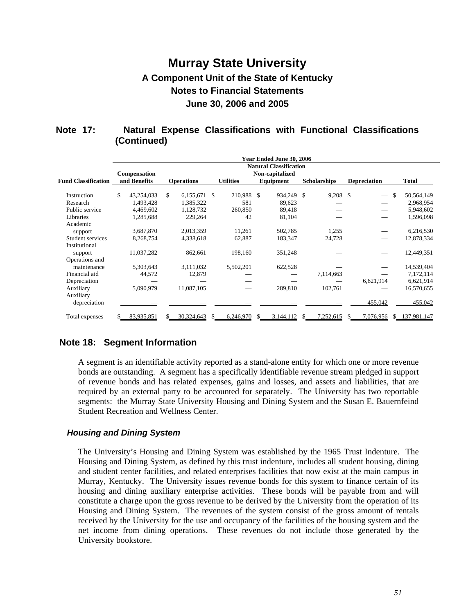### **Note 17: Natural Expense Classifications with Functional Classifications (Continued)**

|                            |                                                                  |              |    |                   |   |                  |  | Year Ended June 30, 2006 |     |                     |    |                          |                  |
|----------------------------|------------------------------------------------------------------|--------------|----|-------------------|---|------------------|--|--------------------------|-----|---------------------|----|--------------------------|------------------|
|                            | <b>Natural Classification</b><br>Non-capitalized<br>Compensation |              |    |                   |   |                  |  |                          |     |                     |    |                          |                  |
| <b>Fund Classification</b> |                                                                  | and Benefits |    | <b>Operations</b> |   | <b>Utilities</b> |  | Equipment                |     | <b>Scholarships</b> |    | <b>Depreciation</b>      | <b>Total</b>     |
| Instruction                | \$                                                               | 43,254,033   | \$ | 6,155,671 \$      |   | 210,988 \$       |  | 934,249 \$               |     | $9,208$ \$          |    | $\equiv$                 | \$<br>50,564,149 |
| Research                   |                                                                  | 1,493,428    |    | 1,385,322         |   | 581              |  | 89,623                   |     |                     |    |                          | 2,968,954        |
| Public service             |                                                                  | 4.469.602    |    | 1,128,732         |   | 260,850          |  | 89,418                   |     |                     |    | $\overline{\phantom{0}}$ | 5,948,602        |
| Libraries                  |                                                                  | 1,285,688    |    | 229,264           |   | 42               |  | 81,104                   |     |                     |    |                          | 1,596,098        |
| Academic                   |                                                                  |              |    |                   |   |                  |  |                          |     |                     |    |                          |                  |
| support                    |                                                                  | 3,687,870    |    | 2,013,359         |   | 11,261           |  | 502,785                  |     | 1,255               |    |                          | 6,216,530        |
| Student services           |                                                                  | 8,268,754    |    | 4,338,618         |   | 62,887           |  | 183,347                  |     | 24,728              |    |                          | 12,878,334       |
| Institutional              |                                                                  |              |    |                   |   |                  |  |                          |     |                     |    |                          |                  |
| support                    |                                                                  | 11,037,282   |    | 862,661           |   | 198,160          |  | 351,248                  |     |                     |    |                          | 12,449,351       |
| Operations and             |                                                                  |              |    |                   |   |                  |  |                          |     |                     |    |                          |                  |
| maintenance                |                                                                  | 5,303,643    |    | 3,111,032         |   | 5,502,201        |  | 622,528                  |     |                     |    |                          | 14,539,404       |
| Financial aid              |                                                                  | 44,572       |    | 12,879            |   |                  |  |                          |     | 7,114,663           |    |                          | 7,172,114        |
| Depreciation               |                                                                  |              |    |                   |   |                  |  |                          |     |                     |    | 6,621,914                | 6,621,914        |
| Auxiliary                  |                                                                  | 5,090,979    |    | 11,087,105        |   |                  |  | 289,810                  |     | 102,761             |    |                          | 16,570,655       |
| Auxiliary                  |                                                                  |              |    |                   |   |                  |  |                          |     |                     |    |                          |                  |
| depreciation               |                                                                  |              |    |                   |   |                  |  |                          |     |                     |    | 455,042                  | 455,042          |
| Total expenses             |                                                                  | 83,935,851   |    | 30,324,643        | S | 6,246,970        |  | 3,144,112                | \$. | 7,252,615           | S. | 7,076,956                | \$137,981,147    |

### **Note 18: Segment Information**

A segment is an identifiable activity reported as a stand-alone entity for which one or more revenue bonds are outstanding. A segment has a specifically identifiable revenue stream pledged in support of revenue bonds and has related expenses, gains and losses, and assets and liabilities, that are required by an external party to be accounted for separately. The University has two reportable segments: the Murray State University Housing and Dining System and the Susan E. Bauernfeind Student Recreation and Wellness Center.

#### *Housing and Dining System*

The University's Housing and Dining System was established by the 1965 Trust Indenture. The Housing and Dining System, as defined by this trust indenture, includes all student housing, dining and student center facilities, and related enterprises facilities that now exist at the main campus in Murray, Kentucky. The University issues revenue bonds for this system to finance certain of its housing and dining auxiliary enterprise activities. These bonds will be payable from and will constitute a charge upon the gross revenue to be derived by the University from the operation of its Housing and Dining System. The revenues of the system consist of the gross amount of rentals received by the University for the use and occupancy of the facilities of the housing system and the net income from dining operations. These revenues do not include those generated by the University bookstore.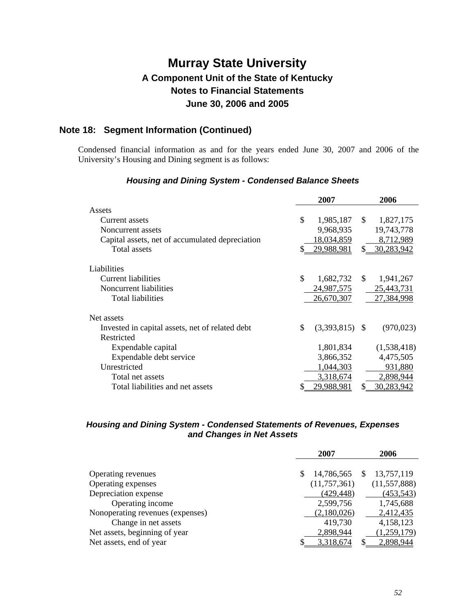### **Note 18: Segment Information (Continued)**

Condensed financial information as and for the years ended June 30, 2007 and 2006 of the University's Housing and Dining segment is as follows:

|                                                 | 2007                   |               | 2006              |
|-------------------------------------------------|------------------------|---------------|-------------------|
| Assets                                          |                        |               |                   |
| Current assets                                  | \$<br>1,985,187        | \$            | 1,827,175         |
| Noncurrent assets                               | 9,968,935              |               | 19,743,778        |
| Capital assets, net of accumulated depreciation | 18,034,859             |               | 8,712,989         |
| Total assets                                    | 29,988,981             | \$            | 30,283,942        |
| Liabilities                                     |                        |               |                   |
| Current liabilities                             | \$<br>1,682,732        | <sup>\$</sup> | 1,941,267         |
| Noncurrent liabilities                          | 24,987,575             |               | 25,443,731        |
| Total liabilities                               | 26,670,307             |               | 27,384,998        |
| Net assets                                      |                        |               |                   |
| Invested in capital assets, net of related debt | \$<br>$(3,393,815)$ \$ |               | (970, 023)        |
| Restricted                                      |                        |               |                   |
| Expendable capital                              | 1,801,834              |               | (1,538,418)       |
| Expendable debt service                         | 3,866,352              |               | 4,475,505         |
| Unrestricted                                    | 1,044,303              |               | 931,880           |
| Total net assets                                | 3,318,674              |               | 2,898,944         |
| Total liabilities and net assets                | 29,988,981             | \$            | <u>30,283,942</u> |

#### *Housing and Dining System - Condensed Balance Sheets*

#### *Housing and Dining System - Condensed Statements of Revenues, Expenses and Changes in Net Assets*

|                                  |   | 2007         | 2006           |
|----------------------------------|---|--------------|----------------|
|                                  |   |              |                |
| Operating revenues               | S | 14,786,565   | 13,757,119     |
| Operating expenses               |   | (11,757,361) | (11, 557, 888) |
| Depreciation expense             |   | (429, 448)   | (453, 543)     |
| Operating income                 |   | 2,599,756    | 1,745,688      |
| Nonoperating revenues (expenses) |   | (2,180,026)  | 2,412,435      |
| Change in net assets             |   | 419,730      | 4,158,123      |
| Net assets, beginning of year    |   | 2,898,944    | (1,259,179)    |
| Net assets, end of year          |   | 3,318,674    | 2,898,944      |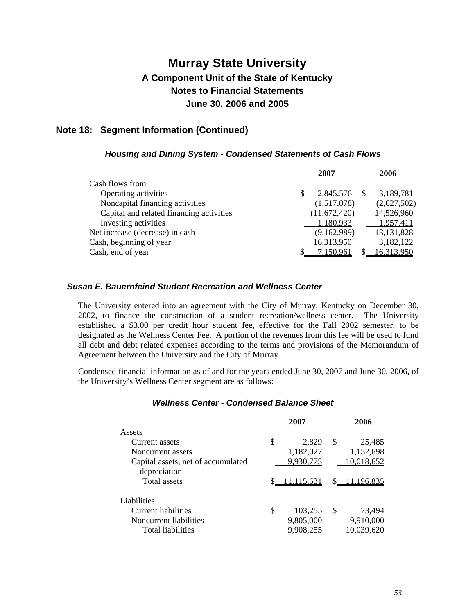### **Note 18: Segment Information (Continued)**

#### *Housing and Dining System - Condensed Statements of Cash Flows*

|                                          | 2007            |      | 2006         |
|------------------------------------------|-----------------|------|--------------|
| Cash flows from                          |                 |      |              |
| Operating activities                     | \$<br>2,845,576 | - \$ | 3,189,781    |
| Noncapital financing activities          | (1,517,078)     |      | (2,627,502)  |
| Capital and related financing activities | (11,672,420)    |      | 14,526,960   |
| Investing activities                     | 1,180,933       |      | 1,957,411    |
| Net increase (decrease) in cash          | (9,162,989)     |      | 13, 131, 828 |
| Cash, beginning of year                  | 16,313,950      |      | 3,182,122    |
| Cash, end of year                        | 7,150,961       |      | 16,313,950   |

#### *Susan E. Bauernfeind Student Recreation and Wellness Center*

The University entered into an agreement with the City of Murray, Kentucky on December 30, 2002, to finance the construction of a student recreation/wellness center. The University established a \$3.00 per credit hour student fee, effective for the Fall 2002 semester, to be designated as the Wellness Center Fee. A portion of the revenues from this fee will be used to fund all debt and debt related expenses according to the terms and provisions of the Memorandum of Agreement between the University and the City of Murray.

Condensed financial information as of and for the years ended June 30, 2007 and June 30, 2006, of the University's Wellness Center segment are as follows:

| 2007                                               |    |                        | 2006 |                         |  |  |
|----------------------------------------------------|----|------------------------|------|-------------------------|--|--|
| Assets                                             |    |                        |      |                         |  |  |
| Current assets                                     | \$ | 2,829                  | \$   | 25,485                  |  |  |
| Noncurrent assets                                  |    | 1,182,027              |      | 1,152,698               |  |  |
| Capital assets, net of accumulated<br>depreciation |    | 9,930,775              |      | 10,018,652              |  |  |
| <b>Total assets</b>                                |    | 11,115,631             |      | \$11,196,835            |  |  |
| Liabilities                                        |    |                        |      |                         |  |  |
| Current liabilities                                | \$ | 103,255                | S    | 73,494                  |  |  |
| Noncurrent liabilities<br>Total liabilities        |    | 9,805,000<br>9,908,255 |      | 9,910,000<br>10,039,620 |  |  |

#### *Wellness Center - Condensed Balance Sheet*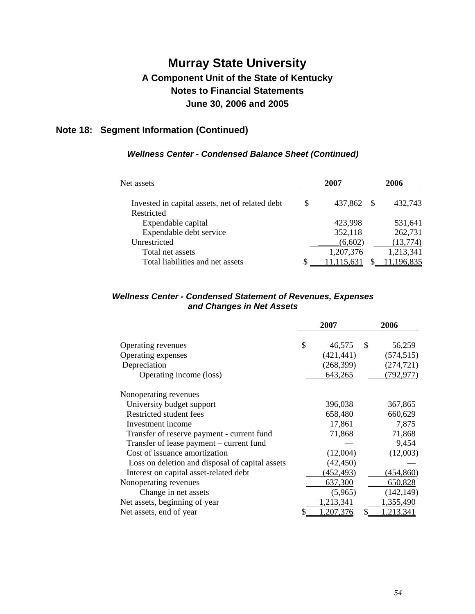### **Note 18: Segment Information (Continued)**

#### *Wellness Center - Condensed Balance Sheet (Continued)*

| Net assets                                      | 2007 |           |  | 2006       |  |  |
|-------------------------------------------------|------|-----------|--|------------|--|--|
| Invested in capital assets, net of related debt | \$   | 437,862   |  | 432,743    |  |  |
| Restricted                                      |      |           |  |            |  |  |
| Expendable capital                              |      | 423,998   |  | 531,641    |  |  |
| Expendable debt service                         |      | 352,118   |  | 262,731    |  |  |
| Unrestricted                                    |      | (6,602)   |  | (13, 774)  |  |  |
| Total net assets                                |      | 1,207,376 |  | 1,213,341  |  |  |
| Total liabilities and net assets                |      |           |  | 11,196,835 |  |  |

#### *Wellness Center - Condensed Statement of Revenues, Expenses and Changes in Net Assets*

|                                                 |    | 2007       | 2006 |            |  |
|-------------------------------------------------|----|------------|------|------------|--|
| Operating revenues                              | \$ | 46,575     | \$.  | 56,259     |  |
| Operating expenses                              |    | (421, 441) |      | (574, 515) |  |
| Depreciation                                    |    | (268, 399) |      | (274, 721) |  |
| Operating income (loss)                         |    | 643,265    |      | (792, 977) |  |
| Nonoperating revenues                           |    |            |      |            |  |
| University budget support                       |    | 396,038    |      | 367,865    |  |
| Restricted student fees                         |    | 658,480    |      | 660,629    |  |
| Investment income                               |    | 17,861     |      | 7,875      |  |
| Transfer of reserve payment - current fund      |    | 71,868     |      | 71,868     |  |
| Transfer of lease payment - current fund        |    |            |      | 9,454      |  |
| Cost of issuance amortization                   |    | (12,004)   |      | (12,003)   |  |
| Loss on deletion and disposal of capital assets |    | (42, 450)  |      |            |  |
| Interest on capital asset-related debt          |    | (452, 493) |      | (454, 860) |  |
| Nonoperating revenues                           |    | 637,300    |      | 650,828    |  |
| Change in net assets                            |    | (5,965)    |      | (142, 149) |  |
| Net assets, beginning of year                   |    | 1,213,341  |      | 1,355,490  |  |
| Net assets, end of year                         | \$ | .207,376   | \$   | ,213,341   |  |